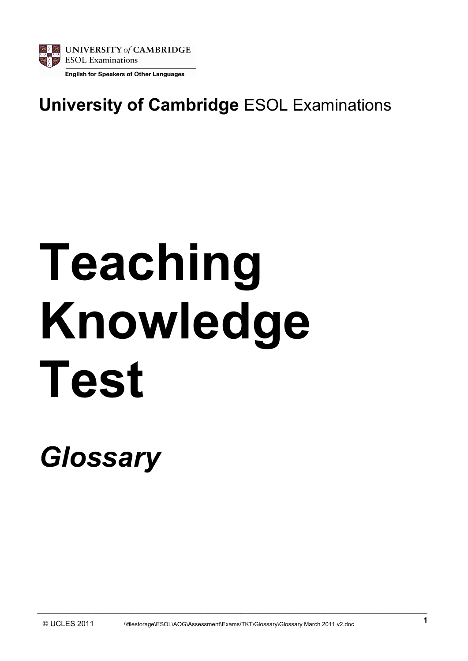

**English for Speakers of Other Languages** 

**University of Cambridge** ESOL Examinations

# **Teaching Knowledge Test**

*Glossary*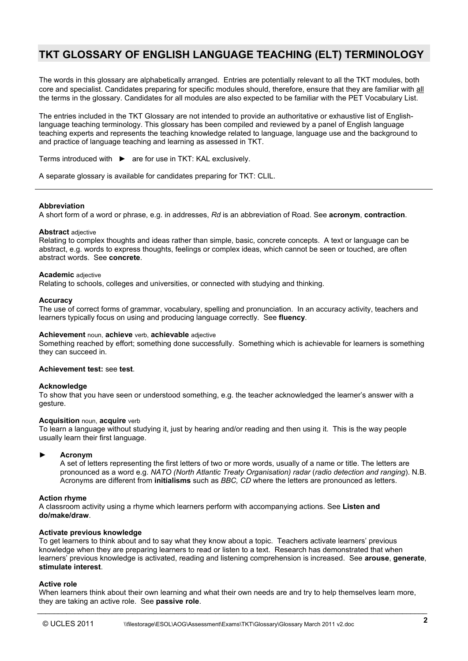# **TKT GLOSSARY OF ENGLISH LANGUAGE TEACHING (ELT) TERMINOLOGY**

The words in this glossary are alphabetically arranged. Entries are potentially relevant to all the TKT modules, both core and specialist. Candidates preparing for specific modules should, therefore, ensure that they are familiar with all the terms in the glossary. Candidates for all modules are also expected to be familiar with the PET Vocabulary List.

The entries included in the TKT Glossary are not intended to provide an authoritative or exhaustive list of Englishlanguage teaching terminology. This glossary has been compiled and reviewed by a panel of English language teaching experts and represents the teaching knowledge related to language, language use and the background to and practice of language teaching and learning as assessed in TKT.

Terms introduced with ► are for use in TKT: KAL exclusively.

A separate glossary is available for candidates preparing for TKT: CLIL.

## **Abbreviation**

A short form of a word or phrase, e.g. in addresses, *Rd* is an abbreviation of Road. See **acronym**, **contraction**.

## **Abstract adjective**

Relating to complex thoughts and ideas rather than simple, basic, concrete concepts. A text or language can be abstract, e.g. words to express thoughts, feelings or complex ideas, which cannot be seen or touched, are often abstract words. See **concrete**.

## **Academic** adjective

Relating to schools, colleges and universities, or connected with studying and thinking.

#### **Accuracy**

The use of correct forms of grammar, vocabulary, spelling and pronunciation. In an accuracy activity, teachers and learners typically focus on using and producing language correctly. See **fluency**.

#### **Achievement** noun, **achieve** verb, **achievable** adjective

Something reached by effort; something done successfully. Something which is achievable for learners is something they can succeed in.

## **Achievement test:** see **test**.

#### **Acknowledge**

To show that you have seen or understood something, e.g. the teacher acknowledged the learner's answer with a gesture.

#### **Acquisition** noun, **acquire** verb

To learn a language without studying it, just by hearing and/or reading and then using it. This is the way people usually learn their first language.

## ► **Acronym**

A set of letters representing the first letters of two or more words, usually of a name or title. The letters are pronounced as a word e.g. *NATO (North Atlantic Treaty Organisation) radar* (*radio detection and ranging*). N.B. Acronyms are different from **initialisms** such as *BBC, CD* where the letters are pronounced as letters.

#### **Action rhyme**

A classroom activity using a rhyme which learners perform with accompanying actions. See **Listen and do/make/draw**.

## **Activate previous knowledge**

To get learners to think about and to say what they know about a topic. Teachers activate learners' previous knowledge when they are preparing learners to read or listen to a text. Research has demonstrated that when learners' previous knowledge is activated, reading and listening comprehension is increased. See **arouse**, **generate**, **stimulate interest**.

## **Active role**

When learners think about their own learning and what their own needs are and try to help themselves learn more, they are taking an active role. See **passive role**.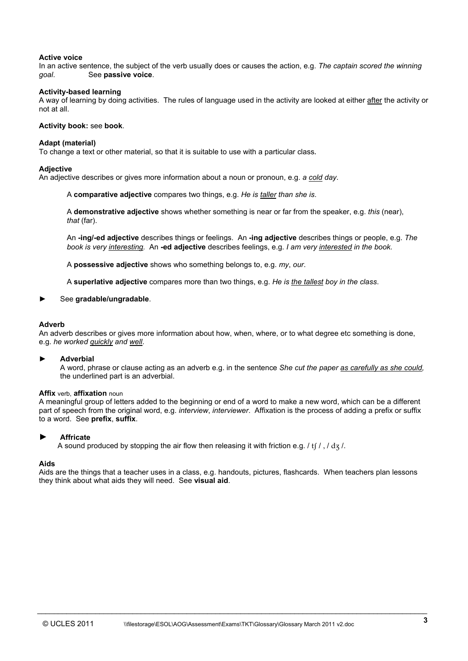## **Active voice**

In an active sentence, the subject of the verb usually does or causes the action, e.g. *The captain scored the winning goal*. See **passive voice**.

#### **Activity-based learning**

A way of learning by doing activities. The rules of language used in the activity are looked at either after the activity or not at all.

## **Activity book:** see **book**.

### **Adapt (material)**

To change a text or other material, so that it is suitable to use with a particular class**.** 

#### **Adjective**

An adjective describes or gives more information about a noun or pronoun, e.g. *a cold day*.

A **comparative adjective** compares two things, e.g. *He is taller than she is*.

A **demonstrative adjective** shows whether something is near or far from the speaker, e.g. *this* (near), *that* (far).

An **-ing/-ed adjective** describes things or feelings.An **-ing adjective** describes things or people, e.g. *The book is very interesting.* An **-ed adjective** describes feelings, e.g. *I am very interested in the book.* 

A **possessive adjective** shows who something belongs to, e.g. *my*, *our*.

A **superlative adjective** compares more than two things, e.g. *He is the tallest boy in the class*.

#### ► See **gradable/ungradable**.

#### **Adverb**

An adverb describes or gives more information about how, when, where, or to what degree etc something is done, e.g. *he worked quickly and well*.

#### ► **Adverbial**

A word, phrase or clause acting as an adverb e.g. in the sentence *She cut the paper as carefully as she could,*  the underlined part is an adverbial.

## **Affix** verb, **affixation** noun

A meaningful group of letters added to the beginning or end of a word to make a new word, which can be a different part of speech from the original word, e.g. *interview*, *interviewer*. Affixation is the process of adding a prefix or suffix to a word. See **prefix**, **suffix**.

## ► **Affricate**

A sound produced by stopping the air flow then releasing it with friction e.g.  $l$  tf  $l$ ,  $l$  d $l$ ,  $l$ ,  $d \times l$ .

#### **Aids**

Aids are the things that a teacher uses in a class, e.g. handouts, pictures, flashcards.When teachers plan lessons they think about what aids they will need. See **visual aid**.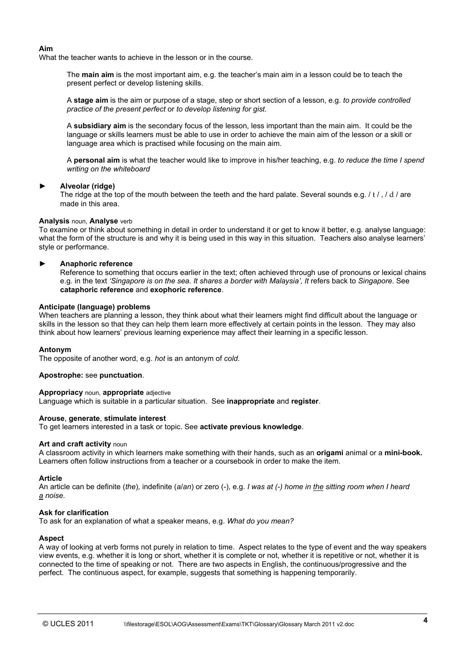## **Aim**

What the teacher wants to achieve in the lesson or in the course.

The **main aim** is the most important aim, e.g. the teacher's main aim in a lesson could be to teach the present perfect or develop listening skills.

A **stage aim** is the aim or purpose of a stage, step or short section of a lesson, e.g. *to provide controlled practice of the present perfect* or *to develop listening for gist.*

A **subsidiary aim** is the secondary focus of the lesson, less important than the main aim. It could be the language or skills learners must be able to use in order to achieve the main aim of the lesson or a skill or language area which is practised while focusing on the main aim.

A **personal aim** is what the teacher would like to improve in his/her teaching, e.g. *to reduce the time I spend writing on the whiteboard*

## ► **Alveolar (ridge)**

The ridge at the top of the mouth between the teeth and the hard palate. Several sounds e.g.  $/t$ ,  $/d /$  are made in this area.

## **Analysis** noun, **Analyse** verb

To examine or think about something in detail in order to understand it or get to know it better, e.g. analyse language: what the form of the structure is and why it is being used in this way in this situation. Teachers also analyse learners' style or performance.

## ► **Anaphoric reference**

Reference to something that occurs earlier in the text; often achieved through use of pronouns or lexical chains e.g. in the text *'Singapore is on the sea. It shares a border with Malaysia'*, *It* refers back to *Singapore*. See **cataphoric reference** and **exophoric reference**.

## **Anticipate (language) problems**

When teachers are planning a lesson, they think about what their learners might find difficult about the language or skills in the lesson so that they can help them learn more effectively at certain points in the lesson. They may also think about how learners' previous learning experience may affect their learning in a specific lesson.

#### **Antonym**

The opposite of another word, e.g. *hot* is an antonym of *cold*.

## **Apostrophe:** see **punctuation**.

#### **Appropriacy** noun, **appropriate** adjective

Language which is suitable in a particular situation. See **inappropriate** and **register**.

#### **Arouse**, **generate**, **stimulate interest**

To get learners interested in a task or topic. See **activate previous knowledge**.

# **Art and craft activity** noun

A classroom activity in which learners make something with their hands, such as an **origami** animal or a **mini-book.**  Learners often follow instructions from a teacher or a coursebook in order to make the item.

#### **Article**

An article can be definite (*the*), indefinite (*a*/*an*) or zero (*-*), e.g. *I was at (-) home in the sitting room when I heard a noise*.

#### **Ask for clarification**

To ask for an explanation of what a speaker means, e.g. *What do you mean?*

#### **Aspect**

A way of looking at verb forms not purely in relation to time. Aspect relates to the type of event and the way speakers view events, e.g. whether it is long or short, whether it is complete or not, whether it is repetitive or not, whether it is connected to the time of speaking or not. There are two aspects in English, the continuous/progressive and the perfect. The continuous aspect, for example, suggests that something is happening temporarily.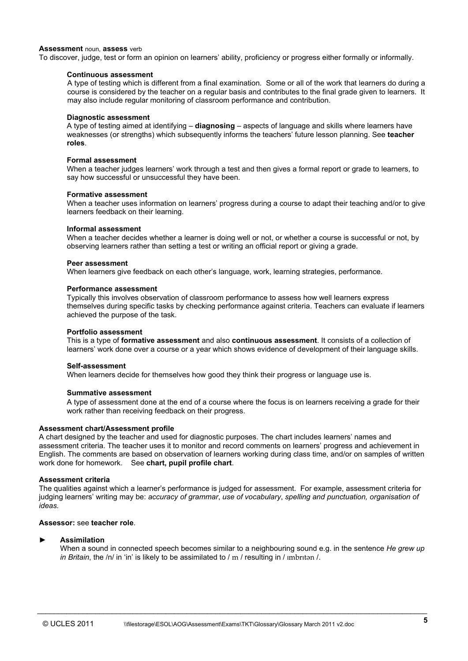# **Assessment** noun, **assess** verb

To discover, judge, test or form an opinion on learners' ability, proficiency or progress either formally or informally.

## **Continuous assessment**

A type of testing which is different from a final examination. Some or all of the work that learners do during a course is considered by the teacher on a regular basis and contributes to the final grade given to learners. It may also include regular monitoring of classroom performance and contribution.

## **Diagnostic assessment**

A type of testing aimed at identifying – **diagnosing** – aspects of language and skills where learners have weaknesses (or strengths) which subsequently informs the teachers' future lesson planning. See **teacher roles**.

#### **Formal assessment**

When a teacher judges learners' work through a test and then gives a formal report or grade to learners, to say how successful or unsuccessful they have been.

## **Formative assessment**

When a teacher uses information on learners' progress during a course to adapt their teaching and/or to give learners feedback on their learning.

## **Informal assessment**

When a teacher decides whether a learner is doing well or not, or whether a course is successful or not, by observing learners rather than setting a test or writing an official report or giving a grade.

## **Peer assessment**

When learners give feedback on each other's language, work, learning strategies, performance.

## **Performance assessment**

Typically this involves observation of classroom performance to assess how well learners express themselves during specific tasks by checking performance against criteria. Teachers can evaluate if learners achieved the purpose of the task.

#### **Portfolio assessment**

This is a type of **formative assessment** and also **continuous assessment**. It consists of a collection of learners' work done over a course or a year which shows evidence of development of their language skills.

## **Self-assessment**

When learners decide for themselves how good they think their progress or language use is.

## **Summative assessment**

A type of assessment done at the end of a course where the focus is on learners receiving a grade for their work rather than receiving feedback on their progress.

## **Assessment chart/Assessment profile**

A chart designed by the teacher and used for diagnostic purposes. The chart includes learners' names and assessment criteria. The teacher uses it to monitor and record comments on learners' progress and achievement in English. The comments are based on observation of learners working during class time, and/or on samples of written work done for homework. See **chart, pupil profile chart**.

#### **Assessment criteria**

The qualities against which a learner's performance is judged for assessment. For example, assessment criteria for judging learners' writing may be: *accuracy of grammar*, *use of vocabulary*, *spelling and punctuation, organisation of ideas.*

# **Assessor:** see **teacher role**.

## ► **Assimilation**

When a sound in connected speech becomes similar to a neighbouring sound e.g. in the sentence *He grew up in Britain*, the /n/ in 'in' is likely to be assimilated to /  $m$  / resulting in /  $m$  *mbritan /.*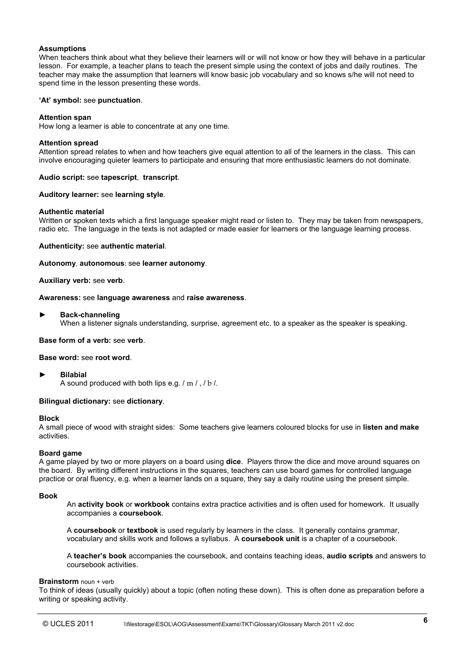## **Assumptions**

When teachers think about what they believe their learners will or will not know or how they will behave in a particular lesson. For example, a teacher plans to teach the present simple using the context of jobs and daily routines. The teacher may make the assumption that learners will know basic job vocabulary and so knows s/he will not need to spend time in the lesson presenting these words.

#### **'At' symbol:** see **punctuation**.

#### **Attention span**

How long a learner is able to concentrate at any one time.

#### **Attention spread**

Attention spread relates to when and how teachers give equal attention to all of the learners in the class. This can involve encouraging quieter learners to participate and ensuring that more enthusiastic learners do not dominate.

## **Audio script:** see **tapescript**, **transcript**.

#### **Auditory learner:** see **learning style**.

## **Authentic material**

Written or spoken texts which a first language speaker might read or listen to. They may be taken from newspapers, radio etc. The language in the texts is not adapted or made easier for learners or the language learning process.

## **Authenticity:** see **authentic material**.

## **Autonomy**, **autonomous:** see **learner autonomy**.

## **Auxiliary verb:** see **verb**.

## **Awareness:** see **language awareness** and **raise awareness**.

#### ► **Back-channeling**

When a listener signals understanding, surprise, agreement etc. to a speaker as the speaker is speaking.

## **Base form of a verb:** see **verb**.

## **Base word:** see **root word**.

- ► **Bilabial** 
	- A sound produced with both lips e.g. / m / , / b /.

## **Bilingual dictionary:** see **dictionary**.

#### **Block**

A small piece of wood with straight sides: Some teachers give learners coloured blocks for use in **listen and make** activities.

## **Board game**

A game played by two or more players on a board using **dice**. Players throw the dice and move around squares on the board. By writing different instructions in the squares, teachers can use board games for controlled language practice or oral fluency, e.g. when a learner lands on a square, they say a daily routine using the present simple.

#### **Book**

An **activity book** or **workbook** contains extra practice activities and is often used for homework. It usually accompanies a **coursebook**.

A **coursebook** or **textbook** is used regularly by learners in the class. It generally contains grammar, vocabulary and skills work and follows a syllabus. A **coursebook unit** is a chapter of a coursebook.

A **teacher's book** accompanies the coursebook, and contains teaching ideas, **audio scripts** and answers to coursebook activities.

#### **Brainstorm** noun + verb

To think of ideas (usually quickly) about a topic (often noting these down). This is often done as preparation before a writing or speaking activity.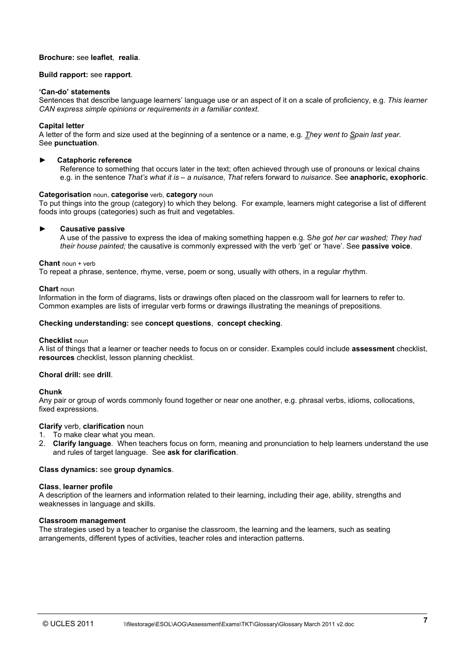## **Brochure:** see **leaflet**, **realia**.

## **Build rapport:** see **rapport**.

## **'Can-do' statements**

Sentences that describe language learners' language use or an aspect of it on a scale of proficiency, e.g. *This learner CAN express simple opinions or requirements in a familiar context.*

## **Capital letter**

A letter of the form and size used at the beginning of a sentence or a name, e.g. *They went to Spain last year.*  See **punctuation**.

## ► **Cataphoric reference**

Reference to something that occurs later in the text; often achieved through use of pronouns or lexical chains e.g. in the sentence *That's what it is – a nuisance*, *That* refers forward to *nuisance*. See **anaphoric, exophoric**.

## **Categorisation** noun, **categorise** verb, **category** noun

To put things into the group (category) to which they belong. For example, learners might categorise a list of different foods into groups (categories) such as fruit and vegetables.

## ► **Causative passive**

A use of the passive to express the idea of making something happen e.g. S*he got her car washed; They had their house painted;* the causative is commonly expressed with the verb 'get' or 'have'. See **passive voice**.

## **Chant** noun + verb

To repeat a phrase, sentence, rhyme, verse, poem or song, usually with others, in a regular rhythm.

#### **Chart** noun

Information in the form of diagrams, lists or drawings often placed on the classroom wall for learners to refer to. Common examples are lists of irregular verb forms or drawings illustrating the meanings of prepositions.

## **Checking understanding:** see **concept questions**, **concept checking**.

## **Checklist** noun

A list of things that a learner or teacher needs to focus on or consider. Examples could include **assessment** checklist, **resources** checklist, lesson planning checklist.

## **Choral drill:** see **drill**.

## **Chunk**

Any pair or group of words commonly found together or near one another, e.g. phrasal verbs, idioms, collocations, fixed expressions.

# **Clarify** verb, **clarification** noun

- 1. To make clear what you mean.
- 2. **Clarify language**. When teachers focus on form, meaning and pronunciation to help learners understand the use and rules of target language. See **ask for clarification**.

## **Class dynamics:** see **group dynamics**.

#### **Class**, **learner profile**

A description of the learners and information related to their learning, including their age, ability, strengths and weaknesses in language and skills.

# **Classroom management**

The strategies used by a teacher to organise the classroom, the learning and the learners, such as seating arrangements, different types of activities, teacher roles and interaction patterns.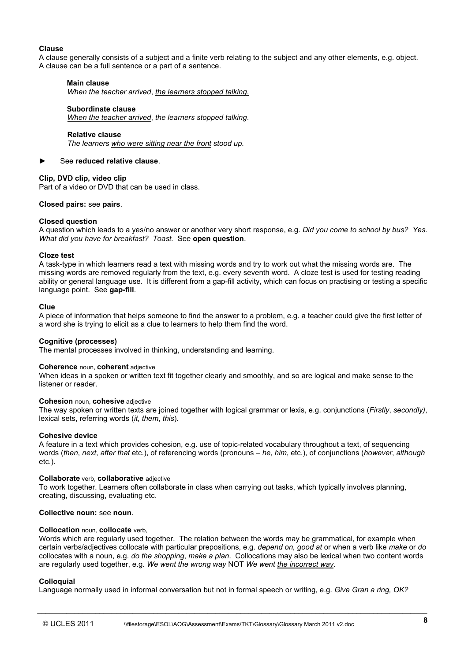## **Clause**

A clause generally consists of a subject and a finite verb relating to the subject and any other elements, e.g. object. A clause can be a full sentence or a part of a sentence.

## **Main clause**

*When the teacher arrived*, *the learners stopped talking*.

# **Subordinate clause**

 *When the teacher arrived*, *the learners stopped talking*.

#### **Relative clause**

 *The learners who were sitting near the front stood up.* 

## ► See **reduced relative clause**.

## **Clip, DVD clip, video clip**

Part of a video or DVD that can be used in class.

## **Closed pairs:** see **pairs**.

## **Closed question**

A question which leads to a yes/no answer or another very short response, e.g. *Did you come to school by bus? Yes. What did you have for breakfast? Toast.* See **open question**.

#### **Cloze test**

A task-type in which learners read a text with missing words and try to work out what the missing words are. The missing words are removed regularly from the text, e.g. every seventh word. A cloze test is used for testing reading ability or general language use. It is different from a gap-fill activity, which can focus on practising or testing a specific language point. See **gap-fill**.

## **Clue**

A piece of information that helps someone to find the answer to a problem, e.g. a teacher could give the first letter of a word she is trying to elicit as a clue to learners to help them find the word.

## **Cognitive (processes)**

The mental processes involved in thinking, understanding and learning.

#### **Coherence** noun, **coherent** adjective

When ideas in a spoken or written text fit together clearly and smoothly, and so are logical and make sense to the listener or reader.

#### **Cohesion** noun, **cohesive** adjective

The way spoken or written texts are joined together with logical grammar or lexis, e.g. conjunctions (*Firstly*, *secondly)*, lexical sets, referring words (*it*, *them*, *this*).

#### **Cohesive device**

A feature in a text which provides cohesion, e.g. use of topic-related vocabulary throughout a text, of sequencing words (*then*, *next*, *after that* etc.), of referencing words (pronouns – *he*, *him*, etc.), of conjunctions (*however*, *although* etc.).

## **Collaborate** verb, **collaborative** adjective

To work together. Learners often collaborate in class when carrying out tasks, which typically involves planning, creating, discussing, evaluating etc.

## **Collective noun:** see **noun**.

## **Collocation** noun, **collocate** verb,

Words which are regularly used together. The relation between the words may be grammatical, for example when certain verbs/adjectives collocate with particular prepositions, e.g. *depend on, good at* or when a verb like *make* or *do* collocates with a noun, e.g. *do the shopping*, *make a plan*. Collocations may also be lexical when two content words are regularly used together, e.g. *We went the wrong way* NOT *We went the incorrect way*.

## **Colloquial**

Language normally used in informal conversation but not in formal speech or writing, e.g. *Give Gran a ring, OK?*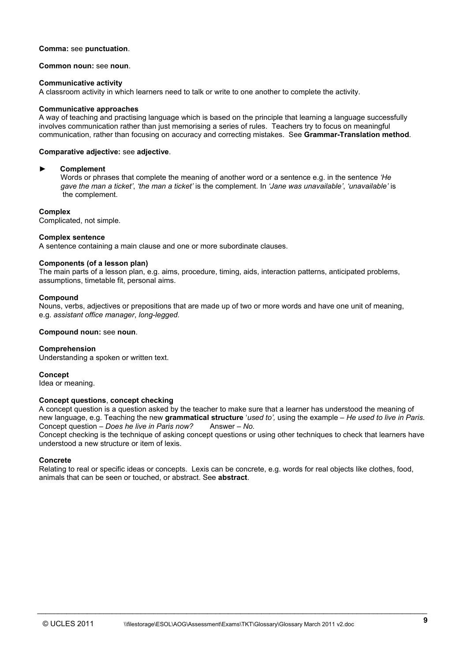## **Comma:** see **punctuation**.

#### **Common noun:** see **noun**.

#### **Communicative activity**

A classroom activity in which learners need to talk or write to one another to complete the activity.

## **Communicative approaches**

A way of teaching and practising language which is based on the principle that learning a language successfully involves communication rather than just memorising a series of rules. Teachers try to focus on meaningful communication, rather than focusing on accuracy and correcting mistakes. See **Grammar-Translation method**.

## **Comparative adjective:** see **adjective**.

## ► **Complement**

Words or phrases that complete the meaning of another word or a sentence e.g. in the sentence *'He gave the man a ticket'*, *'the man a ticket'* is the complement. In *'Jane was unavailable'*, *'unavailable'* is the complement.

## **Complex**

Complicated, not simple.

## **Complex sentence**

A sentence containing a main clause and one or more subordinate clauses.

## **Components (of a lesson plan)**

The main parts of a lesson plan, e.g. aims, procedure, timing, aids, interaction patterns, anticipated problems, assumptions, timetable fit, personal aims.

## **Compound**

Nouns, verbs, adjectives or prepositions that are made up of two or more words and have one unit of meaning, e.g. *assistant office manager*, *long-legged.*

## **Compound noun:** see **noun**.

## **Comprehension**

Understanding a spoken or written text.

**Concept**  Idea or meaning.

# **Concept questions**, **concept checking**

A concept question is a question asked by the teacher to make sure that a learner has understood the meaning of new language, e.g. Teaching the new **grammatical structure** '*used to',* using the example *– He used to live in Paris*. Concept question – *Does he live in Paris now?* Answer *– No.* 

Concept checking is the technique of asking concept questions or using other techniques to check that learners have understood a new structure or item of lexis.

## **Concrete**

Relating to real or specific ideas or concepts. Lexis can be concrete, e.g. words for real objects like clothes, food, animals that can be seen or touched, or abstract. See **abstract**.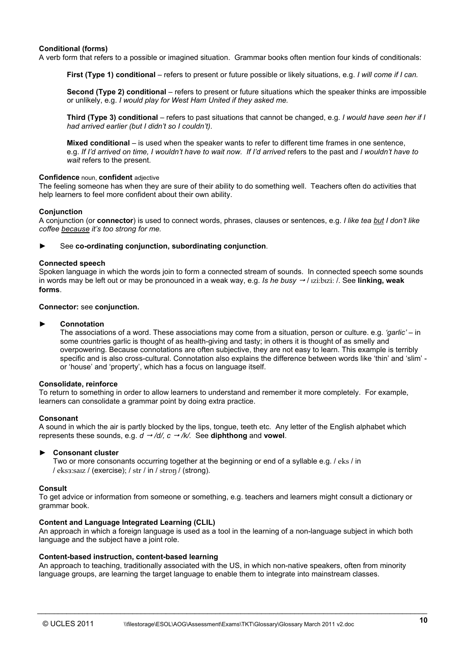## **Conditional (forms)**

A verb form that refers to a possible or imagined situation. Grammar books often mention four kinds of conditionals:

**First (Type 1) conditional** – refers to present or future possible or likely situations, e.g. *I will come if I can.*

**Second (Type 2) conditional** – refers to present or future situations which the speaker thinks are impossible or unlikely, e.g. *I would play for West Ham United if they asked me.*

**Third (Type 3) conditional** – refers to past situations that cannot be changed, e.g. *I would have seen her if I had arrived earlier (but I didn't so I couldn't).* 

**Mixed conditional** – is used when the speaker wants to refer to different time frames in one sentence, e.g. *If I'd arrived on time, I wouldn't have to wait now. If I'd arrived* refers to the past and *I wouldn't have to wait* refers to the present.

## **Confidence** noun, **confident** adjective

The feeling someone has when they are sure of their ability to do something well. Teachers often do activities that help learners to feel more confident about their own ability.

## **Conjunction**

A conjunction (or **connector**) is used to connect words, phrases, clauses or sentences, e.g. *I like tea but I don't like coffee because it's too strong for me.* 

► See **co-ordinating conjunction, subordinating conjunction**.

## **Connected speech**

Spoken language in which the words join to form a connected stream of sounds. In connected speech some sounds in words may be left out or may be pronounced in a weak way, e.g. *Is he busy → l* izi∶bizi: /. See **linking, weak forms**.

## **Connector:** see **conjunction.**

## ► **Connotation**

The associations of a word. These associations may come from a situation, person or culture. e.g. *'garlic'* – in some countries garlic is thought of as health-giving and tasty; in others it is thought of as smelly and overpowering. Because connotations are often subjective, they are not easy to learn. This example is terribly specific and is also cross-cultural. Connotation also explains the difference between words like 'thin' and 'slim' or 'house' and 'property', which has a focus on language itself.

# **Consolidate, reinforce**

To return to something in order to allow learners to understand and remember it more completely. For example, learners can consolidate a grammar point by doing extra practice.

#### **Consonant**

A sound in which the air is partly blocked by the lips, tongue, teeth etc. Any letter of the English alphabet which represents these sounds, e.g.  $d \rightarrow / d$ ,  $c \rightarrow / k$ . See **diphthong** and **vowel**.

## ► **Consonant cluster**

Two or more consonants occurring together at the beginning or end of a syllable e.g. / eks / in  $\ell$  eksa: saiz  $\ell$  (exercise);  $\ell$  str  $\ell$  in  $\ell$  strong).

#### **Consult**

To get advice or information from someone or something, e.g. teachers and learners might consult a dictionary or grammar book.

# **Content and Language Integrated Learning (CLIL)**

An approach in which a foreign language is used as a tool in the learning of a non-language subject in which both language and the subject have a joint role.

## **Content-based instruction, content-based learning**

An approach to teaching, traditionally associated with the US, in which non-native speakers, often from minority language groups, are learning the target language to enable them to integrate into mainstream classes.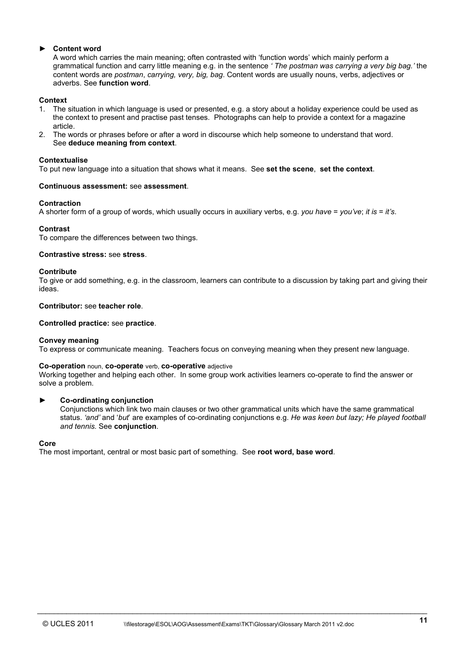# ► **Content word**

A word which carries the main meaning; often contrasted with 'function words' which mainly perform a grammatical function and carry little meaning e.g. in the sentence *' The postman was carrying a very big bag.'* the content words are *postman*, *carrying, very, big, bag*. Content words are usually nouns, verbs, adjectives or adverbs. See **function word**.

## **Context**

- 1. The situation in which language is used or presented, e.g. a story about a holiday experience could be used as the context to present and practise past tenses. Photographs can help to provide a context for a magazine article.
- 2. The words or phrases before or after a word in discourse which help someone to understand that word. See **deduce meaning from context**.

## **Contextualise**

To put new language into a situation that shows what it means. See **set the scene**, **set the context**.

## **Continuous assessment:** see **assessment**.

## **Contraction**

A shorter form of a group of words, which usually occurs in auxiliary verbs, e.g. *you have* = *you've*; *it is* = *it's*.

## **Contrast**

To compare the differences between two things.

## **Contrastive stress:** see **stress**.

## **Contribute**

To give or add something, e.g. in the classroom, learners can contribute to a discussion by taking part and giving their ideas.

## **Contributor:** see **teacher role**.

## **Controlled practice:** see **practice**.

## **Convey meaning**

To express or communicate meaning. Teachers focus on conveying meaning when they present new language.

#### **Co-operation** noun, **co-operate** verb, **co-operative** adjective

Working together and helping each other. In some group work activities learners co-operate to find the answer or solve a problem.

## ► **Co-ordinating conjunction**

Conjunctions which link two main clauses or two other grammatical units which have the same grammatical status. *'and'* and '*but*' are examples of co-ordinating conjunctions e.g. *He was keen but lazy; He played football and tennis.* See **conjunction**.

**Core** 

The most important, central or most basic part of something. See **root word, base word**.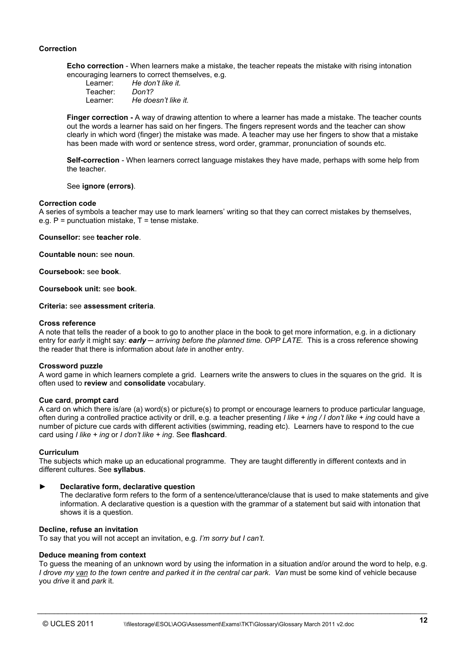## **Correction**

**Echo correction** - When learners make a mistake, the teacher repeats the mistake with rising intonation encouraging learners to correct themselves, e.g.

| Learner: | He don't like it.   |  |
|----------|---------------------|--|
| Teacher: | Don't?              |  |
| Learner: | He doesn't like it. |  |

**Finger correction -** A way of drawing attention to where a learner has made a mistake. The teacher counts out the words a learner has said on her fingers. The fingers represent words and the teacher can show clearly in which word (finger) the mistake was made. A teacher may use her fingers to show that a mistake has been made with word or sentence stress, word order, grammar, pronunciation of sounds etc.

**Self-correction** - When learners correct language mistakes they have made, perhaps with some help from the teacher.

#### See **ignore (errors)**.

#### **Correction code**

A series of symbols a teacher may use to mark learners' writing so that they can correct mistakes by themselves, e.g.  $P =$  punctuation mistake,  $T =$  tense mistake.

#### **Counsellor:** see **teacher role**.

**Countable noun:** see **noun**.

**Coursebook:** see **book**.

**Coursebook unit:** see **book**.

## **Criteria:** see **assessment criteria**.

#### **Cross reference**

A note that tells the reader of a book to go to another place in the book to get more information, e.g. in a dictionary entry for *early* it might say: *early ─ arriving before the planned time. OPP LATE.* This is a cross reference showing the reader that there is information about *late* in another entry.

#### **Crossword puzzle**

A word game in which learners complete a grid. Learners write the answers to clues in the squares on the grid. It is often used to **review** and **consolidate** vocabulary.

## **Cue card**, **prompt card**

A card on which there is/are (a) word(s) or picture(s) to prompt or encourage learners to produce particular language, often during a controlled practice activity or drill, e.g. a teacher presenting *I like + ing / I don't like + ing* could have a number of picture cue cards with different activities (swimming, reading etc). Learners have to respond to the cue card using *I like + ing* or *I don't like + ing*. See **flashcard**.

#### **Curriculum**

The subjects which make up an educational programme. They are taught differently in different contexts and in different cultures. See **syllabus**.

#### ► **Declarative form, declarative question**

The declarative form refers to the form of a sentence/utterance/clause that is used to make statements and give information. A declarative question is a question with the grammar of a statement but said with intonation that shows it is a question.

## **Decline, refuse an invitation**

To say that you will not accept an invitation, e.g. *I'm sorry but I can't*.

## **Deduce meaning from context**

To guess the meaning of an unknown word by using the information in a situation and/or around the word to help, e.g. *I drove my van to the town centre and parked it in the central car park*. *Van* must be some kind of vehicle because you *drive* it and *park* it.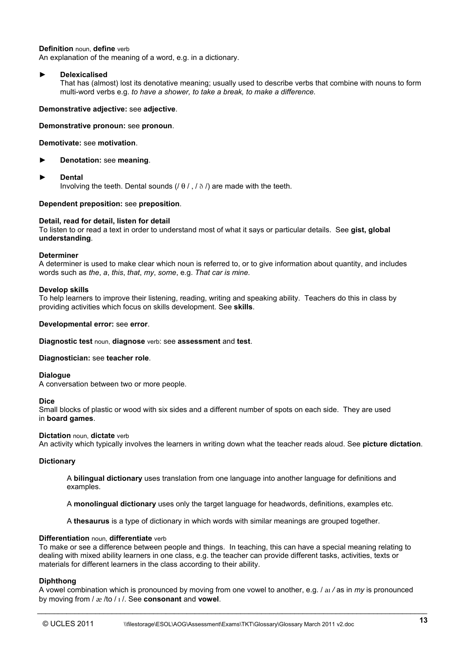## **Definition** noun, **define** verb

An explanation of the meaning of a word, e.g. in a dictionary.

#### ► **Delexicalised**

That has (almost) lost its denotative meaning; usually used to describe verbs that combine with nouns to form multi-word verbs e.g. *to have a shower, to take a break, to make a difference.*

#### **Demonstrative adjective:** see **adjective**.

## **Demonstrative pronoun:** see **pronoun**.

**Demotivate:** see **motivation**.

- ► **Denotation:** see **meaning**.
- ► **Dental**  Involving the teeth. Dental sounds  $(1 \theta 1, 1 \delta 1)$  are made with the teeth.

## **Dependent preposition:** see **preposition**.

## **Detail, read for detail, listen for detail**

To listen to or read a text in order to understand most of what it says or particular details. See **gist, global understanding**.

### **Determiner**

A determiner is used to make clear which noun is referred to, or to give information about quantity, and includes words such as *the*, *a*, *this*, *that*, *my*, *some*, e.g. *That car is mine*.

#### **Develop skills**

To help learners to improve their listening, reading, writing and speaking ability. Teachers do this in class by providing activities which focus on skills development. See **skills**.

## **Developmental error:** see **error**.

**Diagnostic test** noun, **diagnose** verb: see **assessment** and **test**.

#### **Diagnostician:** see **teacher role**.

## **Dialogue**

A conversation between two or more people.

#### **Dice**

Small blocks of plastic or wood with six sides and a different number of spots on each side. They are used in **board games**.

#### **Dictation** noun, **dictate** verb

An activity which typically involves the learners in writing down what the teacher reads aloud. See **picture dictation**.

## **Dictionary**

A **bilingual dictionary** uses translation from one language into another language for definitions and examples.

A **monolingual dictionary** uses only the target language for headwords, definitions, examples etc.

A **thesaurus** is a type of dictionary in which words with similar meanings are grouped together.

## **Differentiation** noun, **differentiate** verb

To make or see a difference between people and things. In teaching, this can have a special meaning relating to dealing with mixed ability learners in one class, e.g. the teacher can provide different tasks, activities, texts or materials for different learners in the class according to their ability.

## **Diphthong**

A vowel combination which is pronounced by moving from one vowel to another, e.g. / aˆ */* as in *my* is pronounced by moving from / æ /to / ˆ /. See **consonant** and **vowel**.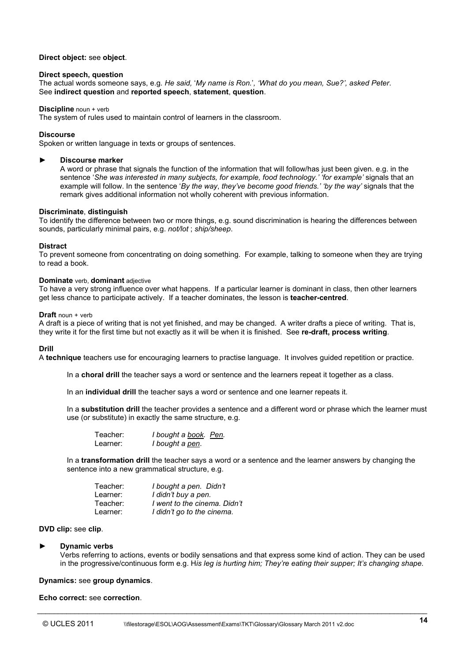## **Direct object:** see **object**.

#### **Direct speech, question**

The actual words someone says, e.g. *He said,* '*My name is Ron.*'*, 'What do you mean, Sue?', asked Peter*. See **indirect question** and **reported speech**, **statement**, **question**.

# **Discipline** noun + verb

The system of rules used to maintain control of learners in the classroom.

#### **Discourse**

Spoken or written language in texts or groups of sentences.

#### ► **Discourse marker**

A word or phrase that signals the function of the information that will follow/has just been given. e.g. in the sentence '*She was interested in many subjects, for example, food technology.' 'for example'* signals that an example will follow. In the sentence '*By the way*, *they've become good friends.' 'by the way'* signals that the remark gives additional information not wholly coherent with previous information.

#### **Discriminate**, **distinguish**

To identify the difference between two or more things, e.g. sound discrimination is hearing the differences between sounds, particularly minimal pairs, e.g. *not/lot* ; *ship/sheep*.

#### **Distract**

To prevent someone from concentrating on doing something. For example, talking to someone when they are trying to read a book.

#### **Dominate** verb, **dominant** adjective

To have a very strong influence over what happens. If a particular learner is dominant in class, then other learners get less chance to participate actively. If a teacher dominates, the lesson is **teacher-centred**.

#### **Draft** noun + verb

A draft is a piece of writing that is not yet finished, and may be changed. A writer drafts a piece of writing. That is, they write it for the first time but not exactly as it will be when it is finished. See **re-draft, process writing**.

#### **Drill**

A **technique** teachers use for encouraging learners to practise language. It involves guided repetition or practice.

In a **choral drill** the teacher says a word or sentence and the learners repeat it together as a class.

In an **individual drill** the teacher says a word or sentence and one learner repeats it.

In a **substitution drill** the teacher provides a sentence and a different word or phrase which the learner must use (or substitute) in exactly the same structure, e.g.

| Teacher: | I bought a book. Pen. |  |
|----------|-----------------------|--|
| Learner: | I bought a pen.       |  |

In a **transformation drill** the teacher says a word or a sentence and the learner answers by changing the sentence into a new grammatical structure, e.g.

| Teacher: | I bought a pen. Didn't       |
|----------|------------------------------|
| Learner: | I didn't buy a pen.          |
| Teacher: | I went to the cinema. Didn't |
| Learner: | I didn't go to the cinema.   |

## **DVD clip:** see **clip**.

#### ► **Dynamic verbs**

Verbs referring to actions, events or bodily sensations and that express some kind of action. They can be used in the progressive/continuous form e.g. H*is leg is hurting him; They're eating their supper; It's changing shape.*

 $\_$  , and the state of the state of the state of the state of the state of the state of the state of the state of the state of the state of the state of the state of the state of the state of the state of the state of the

## **Dynamics:** see **group dynamics**.

## **Echo correct:** see **correction**.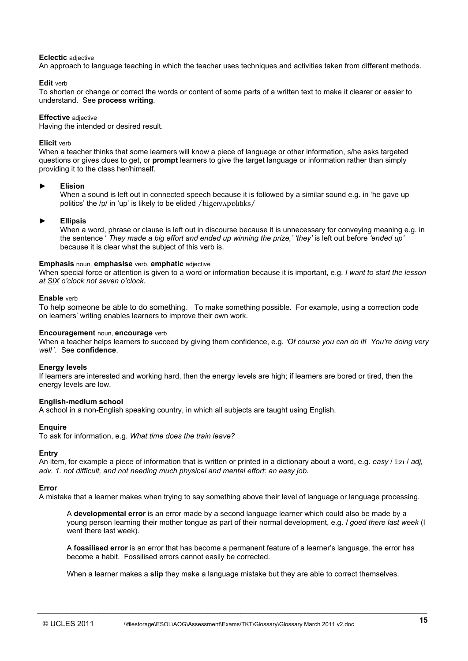## **Eclectic** adjective

An approach to language teaching in which the teacher uses techniques and activities taken from different methods.

## **Edit** verb

To shorten or change or correct the words or content of some parts of a written text to make it clearer or easier to understand. See **process writing**.

## **Effective** adjective

Having the intended or desired result.

## **Elicit** verb

When a teacher thinks that some learners will know a piece of language or other information, s/he asks targeted questions or gives clues to get, or **prompt** learners to give the target language or information rather than simply providing it to the class her/himself.

## ► **Elision**

When a sound is left out in connected speech because it is followed by a similar sound e.g. in 'he gave up politics' the /p/ in 'up' is likely to be elided /higery^pplitiks/

## ► **Ellipsis**

When a word, phrase or clause is left out in discourse because it is unnecessary for conveying meaning e.g. in the sentence ' *They made a big effort and ended up winning the prize,' 'they'* is left out before *'ended up'* because it is clear what the subject of this verb is.

#### **Emphasis** noun, **emphasise** verb, **emphatic** adjective

When special force or attention is given to a word or information because it is important, e.g. *I want to start the lesson at SIX o'clock not seven o'clock.*

## **Enable** verb

To help someone be able to do something. To make something possible. For example, using a correction code on learners' writing enables learners to improve their own work.

#### **Encouragement** noun, **encourage** verb

When a teacher helps learners to succeed by giving them confidence, e.g. *'Of course you can do it! You're doing very well'.* See **confidence**.

#### **Energy levels**

If learners are interested and working hard, then the energy levels are high; if learners are bored or tired, then the energy levels are low.

#### **English-medium school**

A school in a non-English speaking country, in which all subjects are taught using English.

## **Enquire**

To ask for information, e.g. *What time does the train leave?*

#### **Entry**

An item, for example a piece of information that is written or printed in a dictionary about a word, e.g. *easy* / i:zi / *adj*, *adv. 1. not difficult, and not needing much physical and mental effort: an easy job.*

#### **Error**

A mistake that a learner makes when trying to say something above their level of language or language processing.

A **developmental error** is an error made by a second language learner which could also be made by a young person learning their mother tongue as part of their normal development, e.g. *I goed there last week* (I went there last week).

A **fossilised error** is an error that has become a permanent feature of a learner's language, the error has become a habit. Fossilised errors cannot easily be corrected.

When a learner makes a **slip** they make a language mistake but they are able to correct themselves.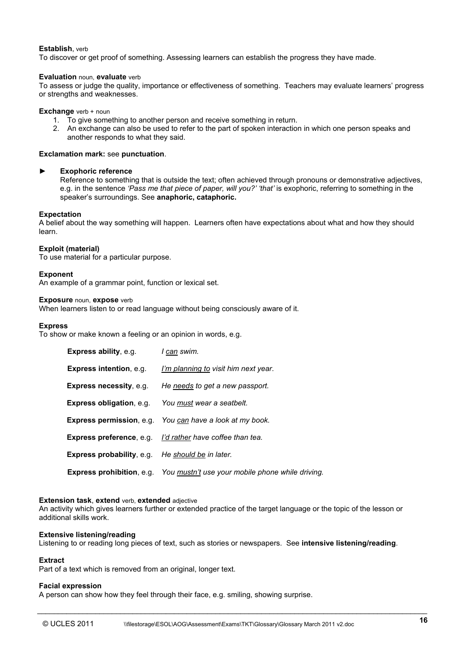## **Establish**, verb

To discover or get proof of something. Assessing learners can establish the progress they have made.

## **Evaluation** noun, **evaluate** verb

To assess or judge the quality, importance or effectiveness of something. Teachers may evaluate learners' progress or strengths and weaknesses.

## **Exchange** verb + noun

- 1. To give something to another person and receive something in return.
- 2. An exchange can also be used to refer to the part of spoken interaction in which one person speaks and another responds to what they said.

#### **Exclamation mark:** see **punctuation**.

## ► **Exophoric reference**

Reference to something that is outside the text; often achieved through pronouns or demonstrative adjectives, e.g. in the sentence *'Pass me that piece of paper, will you?' 'that'* is exophoric, referring to something in the speaker's surroundings. See **anaphoric, cataphoric.**

## **Expectation**

A belief about the way something will happen. Learners often have expectations about what and how they should learn.

## **Exploit (material)**

To use material for a particular purpose.

## **Exponent**

An example of a grammar point, function or lexical set.

#### **Exposure** noun, **expose** verb

When learners listen to or read language without being consciously aware of it.

#### **Express**

To show or make known a feeling or an opinion in words, e.g.

| <b>Express ability, e.g.</b>                              | I can swim.                                                                        |
|-----------------------------------------------------------|------------------------------------------------------------------------------------|
| <b>Express intention, e.g.</b>                            | I'm planning to visit him next year.                                               |
| <b>Express necessity, e.g.</b>                            | He needs to get a new passport.                                                    |
| <b>Express obligation, e.g.</b> You must wear a seatbelt. |                                                                                    |
|                                                           | <b>Express permission</b> , e.g. You can have a look at my book.                   |
|                                                           | <b>Express preference, e.g.</b> <i>l'd rather have coffee than tea.</i>            |
| <b>Express probability, e.g.</b> He should be in later.   |                                                                                    |
|                                                           | <b>Express prohibition</b> , e.g. You mustn't use your mobile phone while driving. |

#### **Extension task**, **extend** verb, **extended** adjective

An activity which gives learners further or extended practice of the target language or the topic of the lesson or additional skills work.

#### **Extensive listening/reading**

Listening to or reading long pieces of text, such as stories or newspapers. See **intensive listening/reading**.

 $\_$  , and the state of the state of the state of the state of the state of the state of the state of the state of the state of the state of the state of the state of the state of the state of the state of the state of the

#### **Extract**

Part of a text which is removed from an original, longer text.

#### **Facial expression**

A person can show how they feel through their face, e.g. smiling, showing surprise.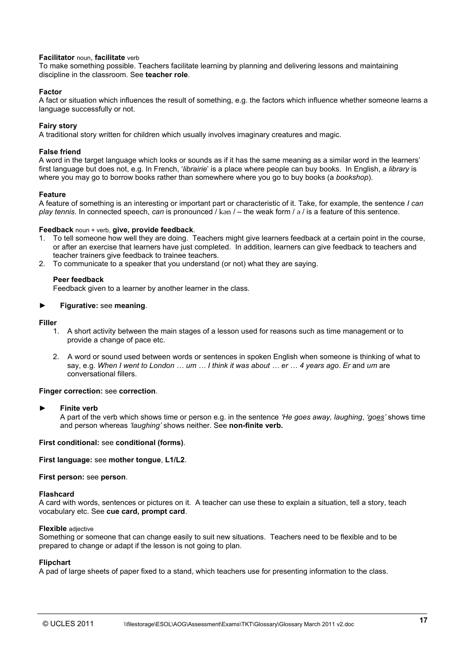## **Facilitator** noun, **facilitate** verb

To make something possible. Teachers facilitate learning by planning and delivering lessons and maintaining discipline in the classroom. See **teacher role**.

## **Factor**

A fact or situation which influences the result of something, e.g. the factors which influence whether someone learns a language successfully or not.

## **Fairy story**

A traditional story written for children which usually involves imaginary creatures and magic.

## **False friend**

A word in the target language which looks or sounds as if it has the same meaning as a similar word in the learners' first language but does not, e.g. In French, '*librairie*' is a place where people can buy books. In English, a *library* is where you may go to borrow books rather than somewhere where you go to buy books (a *bookshop*).

## **Feature**

A feature of something is an interesting or important part or characteristic of it. Take, for example, the sentence *I can play tennis.* In connected speech, *can* is pronounced / kan / – the weak form / a / is a feature of this sentence.

## **Feedback** noun + verb, **give, provide feedback**.

- 1. To tell someone how well they are doing. Teachers might give learners feedback at a certain point in the course, or after an exercise that learners have just completed. In addition, learners can give feedback to teachers and teacher trainers give feedback to trainee teachers.
- 2. To communicate to a speaker that you understand (or not) what they are saying.

## **Peer feedback**

Feedback given to a learner by another learner in the class.

## ► **Figurative:** see **meaning**.

#### **Filler**

- 1. A short activity between the main stages of a lesson used for reasons such as time management or to provide a change of pace etc.
- 2. A word or sound used between words or sentences in spoken English when someone is thinking of what to say, e.g. *When I went to London … um … I think it was about … er … 4 years ago*. *Er* and *um* are conversational fillers.

## **Finger correction:** see **correction**.

## ► **Finite verb**

A part of the verb which shows time or person e.g. in the sentence *'He goes away, laughing*, *'goes'* shows time and person whereas *'laughing'* shows neither. See **non-finite verb.** 

## **First conditional:** see **conditional (forms)**.

**First language:** see **mother tongue**, **L1/L2**.

#### **First person:** see **person**.

#### **Flashcard**

A card with words, sentences or pictures on it. A teacher can use these to explain a situation, tell a story, teach vocabulary etc. See **cue card, prompt card**.

#### **Flexible** adjective

Something or someone that can change easily to suit new situations. Teachers need to be flexible and to be prepared to change or adapt if the lesson is not going to plan.

## **Flipchart**

A pad of large sheets of paper fixed to a stand, which teachers use for presenting information to the class.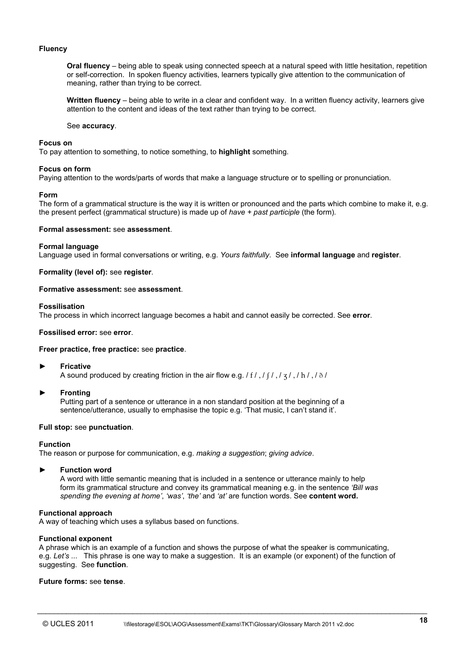## **Fluency**

**Oral fluency** – being able to speak using connected speech at a natural speed with little hesitation, repetition or self-correction. In spoken fluency activities, learners typically give attention to the communication of meaning, rather than trying to be correct.

**Written fluency** – being able to write in a clear and confident way. In a written fluency activity, learners give attention to the content and ideas of the text rather than trying to be correct.

## See **accuracy**.

## **Focus on**

To pay attention to something, to notice something, to **highlight** something.

## **Focus on form**

Paying attention to the words/parts of words that make a language structure or to spelling or pronunciation.

## **Form**

The form of a grammatical structure is the way it is written or pronounced and the parts which combine to make it, e.g. the present perfect (grammatical structure) is made up of *have + past participle* (the form)*.*

#### **Formal assessment:** see **assessment**.

#### **Formal language**

Language used in formal conversations or writing, e.g. *Yours faithfully*. See **informal language** and **register**.

**Formality (level of):** see **register**.

## **Formative assessment:** see **assessment**.

#### **Fossilisation**

The process in which incorrect language becomes a habit and cannot easily be corrected. See **error**.

#### **Fossilised error:** see **error**.

#### **Freer practice, free practice:** see **practice**.

► **Fricative** 

A sound produced by creating friction in the air flow e.g.  $/f/f/f/f$ ,  $/f/f/f$ ,  $/h/f/f$ 

► **Fronting** 

Putting part of a sentence or utterance in a non standard position at the beginning of a sentence/utterance, usually to emphasise the topic e.g. 'That music, I can't stand it'.

#### **Full stop:** see **punctuation**.

#### **Function**

The reason or purpose for communication, e.g. *making a suggestion*; *giving advice*.

#### ► **Function word**

A word with little semantic meaning that is included in a sentence or utterance mainly to help form its grammatical structure and convey its grammatical meaning e.g. in the sentence *'Bill was spending the evening at home'*, *'was'*, *'the'* and *'at'* are function words. See **content word.**

#### **Functional approach**

A way of teaching which uses a syllabus based on functions.

#### **Functional exponent**

A phrase which is an example of a function and shows the purpose of what the speaker is communicating, e.g. *Let's ...* This phrase is one way to make a suggestion. It is an example (or exponent) of the function of suggesting. See **function**.

 $\_$  , and the state of the state of the state of the state of the state of the state of the state of the state of the state of the state of the state of the state of the state of the state of the state of the state of the

## **Future forms:** see **tense**.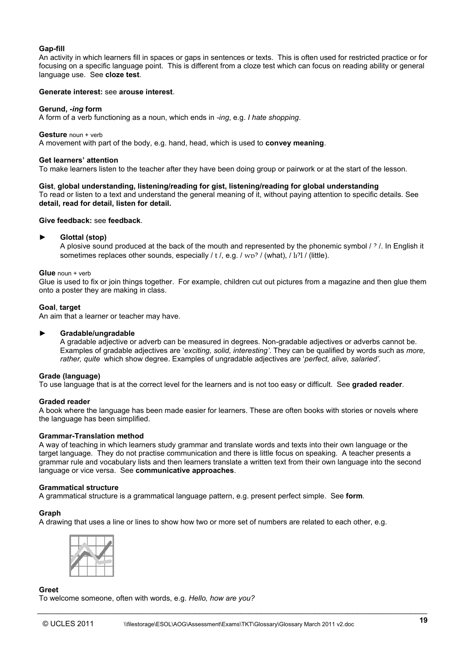## **Gap-fill**

An activity in which learners fill in spaces or gaps in sentences or texts. This is often used for restricted practice or for focusing on a specific language point. This is different from a cloze test which can focus on reading ability or general language use. See **cloze test**.

# **Generate interest:** see **arouse interest**.

## **Gerund,** *-ing* **form**

A form of a verb functioning as a noun, which ends in *-ing*, e.g. *I hate shopping*.

## **Gesture** noun + verb

A movement with part of the body, e.g. hand, head, which is used to **convey meaning**.

## **Get learners' attention**

To make learners listen to the teacher after they have been doing group or pairwork or at the start of the lesson.

## **Gist**, **global understanding, listening/reading for gist, listening/reading for global understanding** To read or listen to a text and understand the general meaning of it, without paying attention to specific details. See **detail, read for detail, listen for detail.**

## **Give feedback:** see **feedback**.

## ► **Glottal (stop)**

A plosive sound produced at the back of the mouth and represented by the phonemic symbol / ÷ /. In English it sometimes replaces other sounds, especially  $/ t$  /, e.g.  $/$  wp?  $/$  (what),  $/$  li<sup>2</sup>l  $/$  (little).

## **Glue** noun + verb

Glue is used to fix or join things together. For example, children cut out pictures from a magazine and then glue them onto a poster they are making in class.

## **Goal**, **target**

An aim that a learner or teacher may have.

## ► **Gradable/ungradable**

A gradable adjective or adverb can be measured in degrees. Non-gradable adjectives or adverbs cannot be. Examples of gradable adjectives are '*exciting, solid, interesting'*. They can be qualified by words such as *more, rather, quite* which show degree. Examples of ungradable adjectives are '*perfect, alive, salaried'.*

## **Grade (language)**

To use language that is at the correct level for the learners and is not too easy or difficult. See **graded reader**.

## **Graded reader**

A book where the language has been made easier for learners. These are often books with stories or novels where the language has been simplified.

## **Grammar-Translation method**

A way of teaching in which learners study grammar and translate words and texts into their own language or the target language. They do not practise communication and there is little focus on speaking. A teacher presents a grammar rule and vocabulary lists and then learners translate a written text from their own language into the second language or vice versa. See **communicative approaches**.

## **Grammatical structure**

A grammatical structure is a grammatical language pattern, e.g. present perfect simple. See **form**.

## **Graph**

A drawing that uses a line or lines to show how two or more set of numbers are related to each other, e.g.



#### **Greet**

To welcome someone, often with words, e.g. *Hello, how are you?*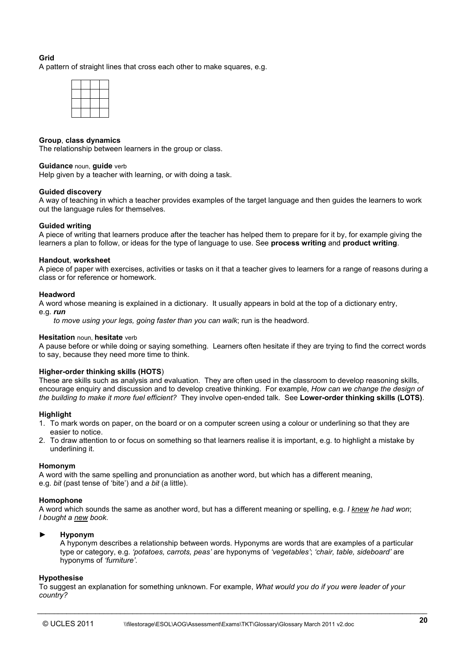# **Grid**

A pattern of straight lines that cross each other to make squares, e.g.



#### **Group**, **class dynamics**

The relationship between learners in the group or class.

#### **Guidance** noun, **guide** verb

Help given by a teacher with learning, or with doing a task.

## **Guided discovery**

A way of teaching in which a teacher provides examples of the target language and then guides the learners to work out the language rules for themselves.

## **Guided writing**

A piece of writing that learners produce after the teacher has helped them to prepare for it by, for example giving the learners a plan to follow, or ideas for the type of language to use. See **process writing** and **product writing**.

#### **Handout**, **worksheet**

A piece of paper with exercises, activities or tasks on it that a teacher gives to learners for a range of reasons during a class or for reference or homework.

## **Headword**

A word whose meaning is explained in a dictionary. It usually appears in bold at the top of a dictionary entry,

e.g. *run* 

 *to move using your legs, going faster than you can walk*; run is the headword.

#### **Hesitation** noun, **hesitate** verb

A pause before or while doing or saying something. Learners often hesitate if they are trying to find the correct words to say, because they need more time to think.

#### **Higher-order thinking skills (HOTS**)

These are skills such as analysis and evaluation. They are often used in the classroom to develop reasoning skills, encourage enquiry and discussion and to develop creative thinking. For example, *How can we change the design of the building to make it more fuel efficient?* They involve open-ended talk. See **Lower-order thinking skills (LOTS)**.

#### **Highlight**

- 1. To mark words on paper, on the board or on a computer screen using a colour or underlining so that they are easier to notice.
- 2. To draw attention to or focus on something so that learners realise it is important, e.g. to highlight a mistake by underlining it.

#### **Homonym**

A word with the same spelling and pronunciation as another word, but which has a different meaning, e.g. *bit* (past tense of 'bite') and *a bit* (a little).

## **Homophone**

A word which sounds the same as another word, but has a different meaning or spelling, e.g. *I knew he had won*; *I bought a new book*.

#### ► **Hyponym**

A hyponym describes a relationship between words. Hyponyms are words that are examples of a particular type or category, e.g. *'potatoes, carrots, peas'* are hyponyms of *'vegetables'*; *'chair, table, sideboard'* are hyponyms of *'furniture'*.

## **Hypothesise**

To suggest an explanation for something unknown. For example, *What would you do if you were leader of your country?*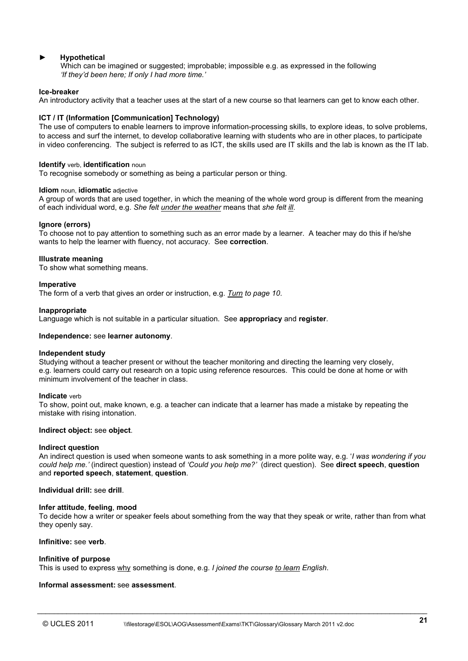# ► **Hypothetical**

Which can be imagined or suggested; improbable; impossible e.g. as expressed in the following *'If they'd been here; If only I had more time.'* 

## **Ice-breaker**

An introductory activity that a teacher uses at the start of a new course so that learners can get to know each other.

## **ICT / IT (Information [Communication] Technology)**

The use of computers to enable learners to improve information-processing skills, to explore ideas, to solve problems, to access and surf the internet, to develop collaborative learning with students who are in other places, to participate in video conferencing. The subject is referred to as ICT, the skills used are IT skills and the lab is known as the IT lab.

#### **Identify** verb, **identification** noun

To recognise somebody or something as being a particular person or thing.

#### **Idiom** noun, **idiomatic** adjective

A group of words that are used together, in which the meaning of the whole word group is different from the meaning of each individual word, e.g. *She felt under the weather* means that *she felt ill*.

## **Ignore (errors)**

To choose not to pay attention to something such as an error made by a learner. A teacher may do this if he/she wants to help the learner with fluency, not accuracy. See **correction**.

#### **Illustrate meaning**

To show what something means.

#### **Imperative**

The form of a verb that gives an order or instruction, e.g. *Turn to page 10*.

#### **Inappropriate**

Language which is not suitable in a particular situation. See **appropriacy** and **register**.

#### **Independence:** see **learner autonomy**.

#### **Independent study**

Studying without a teacher present or without the teacher monitoring and directing the learning very closely, e.g. learners could carry out research on a topic using reference resources. This could be done at home or with minimum involvement of the teacher in class.

## **Indicate** verb

To show, point out, make known, e.g. a teacher can indicate that a learner has made a mistake by repeating the mistake with rising intonation.

## **Indirect object:** see **object**.

#### **Indirect question**

An indirect question is used when someone wants to ask something in a more polite way, e.g. '*I was wondering if you could help me.'* (indirect question) instead of *'Could you help me?'* (direct question). See **direct speech**, **question**  and **reported speech**, **statement**, **question**.

**Individual drill:** see **drill**.

#### **Infer attitude**, **feeling**, **mood**

To decide how a writer or speaker feels about something from the way that they speak or write, rather than from what they openly say.

 $\_$  , and the state of the state of the state of the state of the state of the state of the state of the state of the state of the state of the state of the state of the state of the state of the state of the state of the

#### **Infinitive:** see **verb**.

#### **Infinitive of purpose**

This is used to express why something is done, e.g. *I joined the course to learn English*.

## **Informal assessment:** see **assessment**.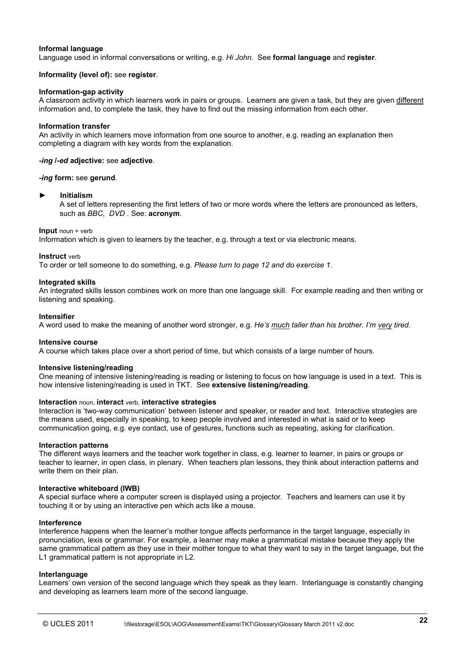## **Informal language**

Language used in informal conversations or writing, e.g. *Hi John.* See **formal language** and **register**.

## **Informality (level of):** see **register**.

#### **Information-gap activity**

A classroom activity in which learners work in pairs or groups. Learners are given a task, but they are given different information and, to complete the task, they have to find out the missing information from each other.

#### **Information transfer**

An activity in which learners move information from one source to another, e.g. reading an explanation then completing a diagram with key words from the explanation.

#### *-ing* **/***-ed* **adjective:** see **adjective**.

#### *-ing* **form:** see **gerund**.

#### ► **Initialism**

A set of letters representing the first letters of two or more words where the letters are pronounced as letters, such as *BBC*, *DVD* . See: **acronym**.

#### **Input** noun + verb

Information which is given to learners by the teacher, e.g. through a text or via electronic means.

#### **Instruct** verb

To order or tell someone to do something, e.g. *Please turn to page 12 and do exercise 1.*

#### **Integrated skills**

An integrated skills lesson combines work on more than one language skill. For example reading and then writing or listening and speaking.

#### **Intensifier**

A word used to make the meaning of another word stronger, e.g. *He's much taller than his brother. I'm very tired.*

#### **Intensive course**

A course which takes place over a short period of time, but which consists of a large number of hours.

#### **Intensive listening/reading**

One meaning of intensive listening/reading is reading or listening to focus on how language is used in a text. This is how intensive listening/reading is used in TKT. See **extensive listening/reading**.

#### **Interaction** noun, **interact** verb, **interactive strategies**

Interaction is 'two-way communication' between listener and speaker, or reader and text. Interactive strategies are the means used, especially in speaking, to keep people involved and interested in what is said or to keep communication going, e.g. eye contact, use of gestures, functions such as repeating, asking for clarification.

## **Interaction patterns**

The different ways learners and the teacher work together in class, e.g. learner to learner, in pairs or groups or teacher to learner, in open class, in plenary.When teachers plan lessons, they think about interaction patterns and write them on their plan.

#### **Interactive whiteboard (IWB)**

A special surface where a computer screen is displayed using a projector. Teachers and learners can use it by touching it or by using an interactive pen which acts like a mouse.

#### **Interference**

Interference happens when the learner's mother tongue affects performance in the target language, especially in pronunciation, lexis or grammar. For example, a learner may make a grammatical mistake because they apply the same grammatical pattern as they use in their mother tongue to what they want to say in the target language, but the L1 grammatical pattern is not appropriate in L2.

## **Interlanguage**

Learners' own version of the second language which they speak as they learn. Interlanguage is constantly changing and developing as learners learn more of the second language.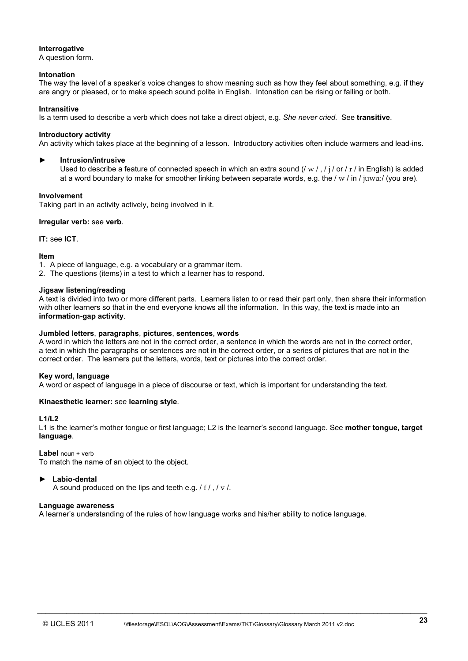# **Interrogative**

A question form.

# **Intonation**

The way the level of a speaker's voice changes to show meaning such as how they feel about something, e.g. if they are angry or pleased, or to make speech sound polite in English. Intonation can be rising or falling or both.

# **Intransitive**

Is a term used to describe a verb which does not take a direct object, e.g. *She never cried.* See **transitive**.

# **Introductory activity**

An activity which takes place at the beginning of a lesson. Introductory activities often include warmers and lead-ins.

# ► **Intrusion/intrusive**

Used to describe a feature of connected speech in which an extra sound  $(Vw / I)$  or  $Ir / in$  English) is added at a word boundary to make for smoother linking between separate words, e.g. the /  $w$  / in / juwa:/ (you are).

## **Involvement**

Taking part in an activity actively, being involved in it.

## **Irregular verb:** see **verb**.

**IT:** see **ICT**.

## **Item**

1. A piece of language, e.g. a vocabulary or a grammar item.

2. The questions (items) in a test to which a learner has to respond.

## **Jigsaw listening/reading**

A text is divided into two or more different parts. Learners listen to or read their part only, then share their information with other learners so that in the end everyone knows all the information. In this way, the text is made into an **information-gap activity**.

## **Jumbled letters**, **paragraphs**, **pictures**, **sentences**, **words**

A word in which the letters are not in the correct order, a sentence in which the words are not in the correct order, a text in which the paragraphs or sentences are not in the correct order, or a series of pictures that are not in the correct order. The learners put the letters, words, text or pictures into the correct order.

## **Key word, language**

A word or aspect of language in a piece of discourse or text, which is important for understanding the text.

# **Kinaesthetic learner:** see **learning style**.

## **L1/L2**

L1 is the learner's mother tongue or first language; L2 is the learner's second language. See **mother tongue, target language**.

 $\_$  , and the state of the state of the state of the state of the state of the state of the state of the state of the state of the state of the state of the state of the state of the state of the state of the state of the

## **Label** noun + verb

To match the name of an object to the object.

## ► **Labio-dental**

A sound produced on the lips and teeth e.g. / f / , / v /.

## **Language awareness**

A learner's understanding of the rules of how language works and his/her ability to notice language.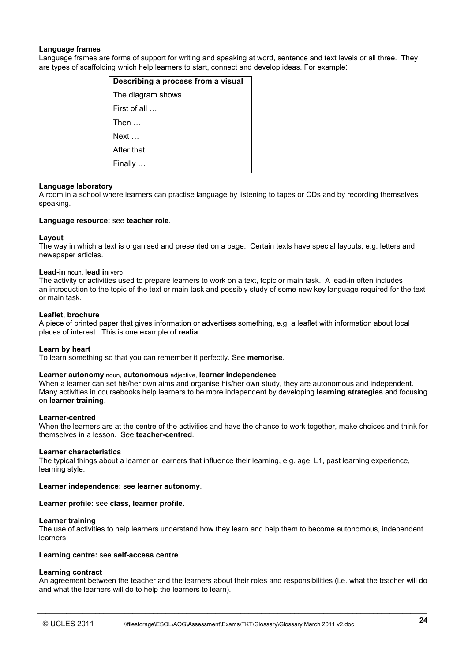## **Language frames**

Language frames are forms of support for writing and speaking at word, sentence and text levels or all three. They are types of scaffolding which help learners to start, connect and develop ideas. For example:

| Describing a process from a visual |
|------------------------------------|
| The diagram shows                  |
| First of all                       |
| Then                               |
| Next                               |
| After that                         |
| Finally                            |

## **Language laboratory**

A room in a school where learners can practise language by listening to tapes or CDs and by recording themselves speaking.

## **Language resource:** see **teacher role**.

#### **Layout**

The way in which a text is organised and presented on a page. Certain texts have special layouts, e.g. letters and newspaper articles.

#### **Lead-in** noun, **lead in** verb

The activity or activities used to prepare learners to work on a text, topic or main task. A lead-in often includes an introduction to the topic of the text or main task and possibly study of some new key language required for the text or main task.

#### **Leaflet**, **brochure**

A piece of printed paper that gives information or advertises something, e.g. a leaflet with information about local places of interest. This is one example of **realia**.

#### **Learn by heart**

To learn something so that you can remember it perfectly. See **memorise**.

## **Learner autonomy** noun, **autonomous** adjective, **learner independence**

When a learner can set his/her own aims and organise his/her own study, they are autonomous and independent. Many activities in coursebooks help learners to be more independent by developing **learning strategies** and focusing on **learner training**.

#### **Learner-centred**

When the learners are at the centre of the activities and have the chance to work together, make choices and think for themselves in a lesson. See **teacher-centred**.

#### **Learner characteristics**

The typical things about a learner or learners that influence their learning, e.g. age, L1, past learning experience, learning style.

#### **Learner independence:** see **learner autonomy**.

#### **Learner profile:** see **class, learner profile**.

#### **Learner training**

The use of activities to help learners understand how they learn and help them to become autonomous, independent learners.

## **Learning centre:** see **self-access centre**.

#### **Learning contract**

An agreement between the teacher and the learners about their roles and responsibilities (i.e. what the teacher will do and what the learners will do to help the learners to learn).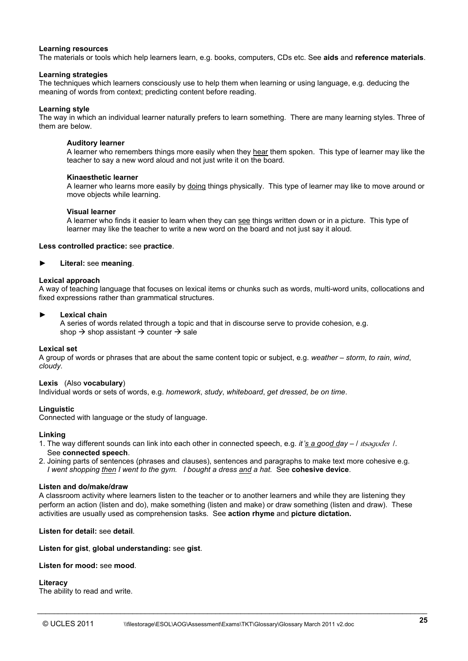## **Learning resources**

The materials or tools which help learners learn, e.g. books, computers, CDs etc. See **aids** and **reference materials**.

## **Learning strategies**

The techniques which learners consciously use to help them when learning or using language, e.g. deducing the meaning of words from context; predicting content before reading.

#### **Learning style**

The way in which an individual learner naturally prefers to learn something. There are many learning styles. Three of them are below.

## **Auditory learner**

A learner who remembers things more easily when they hear them spoken. This type of learner may like the teacher to say a new word aloud and not just write it on the board.

## **Kinaesthetic learner**

A learner who learns more easily by doing things physically. This type of learner may like to move around or move objects while learning.

## **Visual learner**

A learner who finds it easier to learn when they can see things written down or in a picture. This type of learner may like the teacher to write a new word on the board and not just say it aloud.

#### **Less controlled practice:** see **practice**.

## ► **Literal:** see **meaning**.

## **Lexical approach**

A way of teaching language that focuses on lexical items or chunks such as words, multi-word units, collocations and fixed expressions rather than grammatical structures.

#### ► **Lexical chain**

A series of words related through a topic and that in discourse serve to provide cohesion, e.g. shop  $\rightarrow$  shop assistant  $\rightarrow$  counter  $\rightarrow$  sale

#### **Lexical set**

A group of words or phrases that are about the same content topic or subject, e.g. *weather – storm*, *to rain*, *wind*, *cloudy*.

# **Lexis** (Also **vocabulary**)

Individual words or sets of words, e.g. *homework*, *study*, *whiteboard*, *get dressed*, *be on time*.

## **Linguistic**

Connected with language or the study of language.

#### **Linking**

- 1. The way different sounds can link into each other in connected speech, e.g. *it's a good day | itsaquder* /. See **connected speech**.
- 2. Joining parts of sentences (phrases and clauses), sentences and paragraphs to make text more cohesive e.g. *I went shopping then I went to the gym. I bought a dress and a hat.* See **cohesive device**.

#### **Listen and do/make/draw**

A classroom activity where learners listen to the teacher or to another learners and while they are listening they perform an action (listen and do), make something (listen and make) or draw something (listen and draw). These activities are usually used as comprehension tasks. See **action rhyme** and **picture dictation.** 

 $\_$  , and the state of the state of the state of the state of the state of the state of the state of the state of the state of the state of the state of the state of the state of the state of the state of the state of the

**Listen for detail:** see **detail**.

#### **Listen for gist**, **global understanding:** see **gist**.

**Listen for mood:** see **mood**.

**Literacy**  The ability to read and write.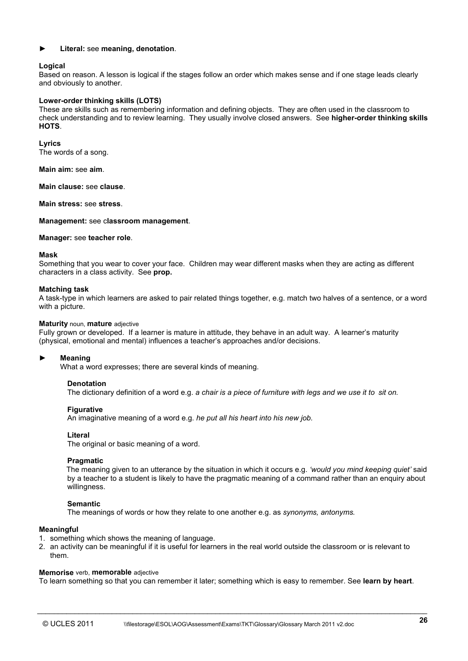# ► **Literal:** see **meaning, denotation**.

## **Logical**

Based on reason. A lesson is logical if the stages follow an order which makes sense and if one stage leads clearly and obviously to another.

## **Lower-order thinking skills (LOTS)**

These are skills such as remembering information and defining objects. They are often used in the classroom to check understanding and to review learning. They usually involve closed answers. See **higher-order thinking skills HOTS**.

#### **Lyrics**

The words of a song.

**Main aim:** see **aim**.

**Main clause:** see **clause**.

**Main stress:** see **stress**.

## **Management:** see c**lassroom management**.

## **Manager:** see **teacher role**.

## **Mask**

Something that you wear to cover your face. Children may wear different masks when they are acting as different characters in a class activity. See **prop.** 

#### **Matching task**

A task-type in which learners are asked to pair related things together, e.g. match two halves of a sentence, or a word with a picture.

## **Maturity** noun, **mature** adjective

Fully grown or developed. If a learner is mature in attitude, they behave in an adult way. A learner's maturity (physical, emotional and mental) influences a teacher's approaches and/or decisions.

## ► **Meaning**

What a word expresses; there are several kinds of meaning.

# **Denotation**

The dictionary definition of a word e.g. *a chair is a piece of furniture with legs and we use it to**sit on.*

## **Figurative**

An imaginative meaning of a word e.g. *he put all his heart into his new job.*

#### **Literal**

The original or basic meaning of a word.

## **Pragmatic**

The meaning given to an utterance by the situation in which it occurs e.g. *'would you mind keeping quiet'* said by a teacher to a student is likely to have the pragmatic meaning of a command rather than an enquiry about willingness.

## **Semantic**

The meanings of words or how they relate to one another e.g. as *synonyms, antonyms.*

## **Meaningful**

- 1. something which shows the meaning of language.
- 2. an activity can be meaningful if it is useful for learners in the real world outside the classroom or is relevant to them.

# **Memorise** verb, **memorable** adjective

To learn something so that you can remember it later; something which is easy to remember. See **learn by heart**.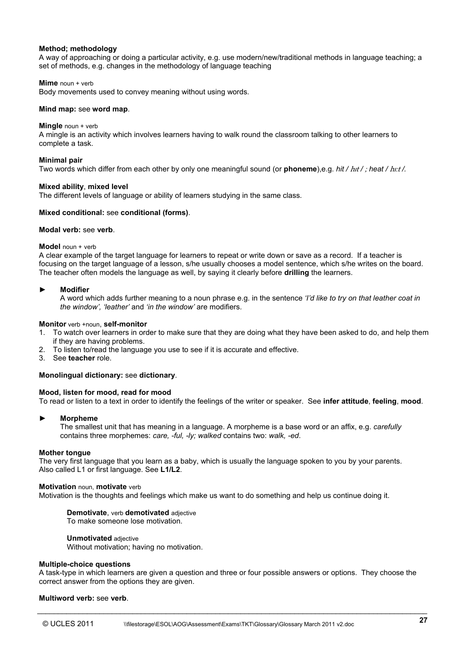## **Method; methodology**

A way of approaching or doing a particular activity, e.g. use modern/new/traditional methods in language teaching; a set of methods, e.g. changes in the methodology of language teaching

#### **Mime** noun + verb

Body movements used to convey meaning without using words.

## **Mind map:** see **word map**.

#### **Mingle** noun + verb

A mingle is an activity which involves learners having to walk round the classroom talking to other learners to complete a task.

#### **Minimal pair**

Two words which differ from each other by only one meaningful sound (or **phoneme**),e.g. *hit / htt / ; heat / httl* /.

#### **Mixed ability**, **mixed level**

The different levels of language or ability of learners studying in the same class.

## **Mixed conditional:** see **conditional (forms)**.

#### **Modal verb:** see **verb**.

#### **Model** noun + verb

A clear example of the target language for learners to repeat or write down or save as a record. If a teacher is focusing on the target language of a lesson, s/he usually chooses a model sentence, which s/he writes on the board. The teacher often models the language as well, by saying it clearly before **drilling** the learners.

#### ► **Modifier**

A word which adds further meaning to a noun phrase e.g. in the sentence *'I'd like to try on that leather coat in the window', 'leather'* and *'in the window'* are modifiers.

#### **Monitor** verb +noun, **self-monitor**

- 1. To watch over learners in order to make sure that they are doing what they have been asked to do, and help them if they are having problems.
- 2. To listen to/read the language you use to see if it is accurate and effective.
- 3. See **teacher** role.

## **Monolingual dictionary:** see **dictionary**.

#### **Mood, listen for mood, read for mood**

To read or listen to a text in order to identify the feelings of the writer or speaker. See **infer attitude**, **feeling**, **mood**.

#### ► **Morpheme**

The smallest unit that has meaning in a language. A morpheme is a base word or an affix, e.g. *carefully*  contains three morphemes: *care, -ful, -ly; walked* contains two: *walk, -ed*.

#### **Mother tongue**

The very first language that you learn as a baby, which is usually the language spoken to you by your parents. Also called L1 or first language. See **L1/L2**.

#### **Motivation** noun, **motivate** verb

Motivation is the thoughts and feelings which make us want to do something and help us continue doing it.

#### **Demotivate**, verb **demotivated** adjective

To make someone lose motivation.

## **Unmotivated** adjective

Without motivation; having no motivation.

## **Multiple-choice questions**

A task-type in which learners are given a question and three or four possible answers or options. They choose the correct answer from the options they are given.

 $\_$  , and the state of the state of the state of the state of the state of the state of the state of the state of the state of the state of the state of the state of the state of the state of the state of the state of the

## **Multiword verb:** see **verb**.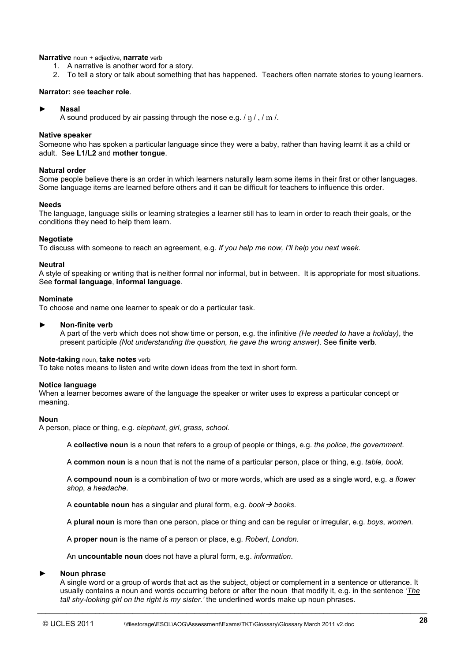## **Narrative** noun + adjective, **narrate** verb

- 1. A narrative is another word for a story.
- 2. To tell a story or talk about something that has happened. Teachers often narrate stories to young learners.

## **Narrator:** see **teacher role**.

## ► **Nasal**

A sound produced by air passing through the nose e.g.  $/n / (1/n)$ .

## **Native speaker**

Someone who has spoken a particular language since they were a baby, rather than having learnt it as a child or adult. See **L1/L2** and **mother tongue**.

## **Natural order**

Some people believe there is an order in which learners naturally learn some items in their first or other languages. Some language items are learned before others and it can be difficult for teachers to influence this order.

#### **Needs**

The language, language skills or learning strategies a learner still has to learn in order to reach their goals, or the conditions they need to help them learn.

## **Negotiate**

To discuss with someone to reach an agreement, e.g. *If you help me now, I'll help you next week*.

#### **Neutral**

A style of speaking or writing that is neither formal nor informal, but in between. It is appropriate for most situations. See **formal language**, **informal language**.

#### **Nominate**

To choose and name one learner to speak or do a particular task.

#### ► **Non-finite verb**

A part of the verb which does not show time or person, e.g. the infinitive *(He needed to have a holiday)*, the present participle *(Not understanding the question, he gave the wrong answer)*. See **finite verb**.

#### **Note-taking** noun, **take notes** verb

To take notes means to listen and write down ideas from the text in short form.

#### **Notice language**

When a learner becomes aware of the language the speaker or writer uses to express a particular concept or meaning.

#### **Noun**

A person, place or thing, e.g. *elephant*, *girl*, *grass*, *school*.

A **collective noun** is a noun that refers to a group of people or things, e.g. *the police*, *the government.*

A **common noun** is a noun that is not the name of a particular person, place or thing, e.g. *table, book*.

A **compound noun** is a combination of two or more words, which are used as a single word, e.g. *a flower shop*, *a headache*.

A **countable noun** has a singular and plural form, e.g. *book books*.

A **plural noun** is more than one person, place or thing and can be regular or irregular, e.g. *boys*, *women*.

A **proper noun** is the name of a person or place, e.g. *Robert*, *London*.

An **uncountable noun** does not have a plural form, e.g. *information*.

#### ► **Noun phrase**

A single word or a group of words that act as the subject, object or complement in a sentence or utterance. It usually contains a noun and words occurring before or after the noun that modify it, e.g. in the sentence *'The tall shy-looking girl on the right is my sister.'* the underlined words make up noun phrases.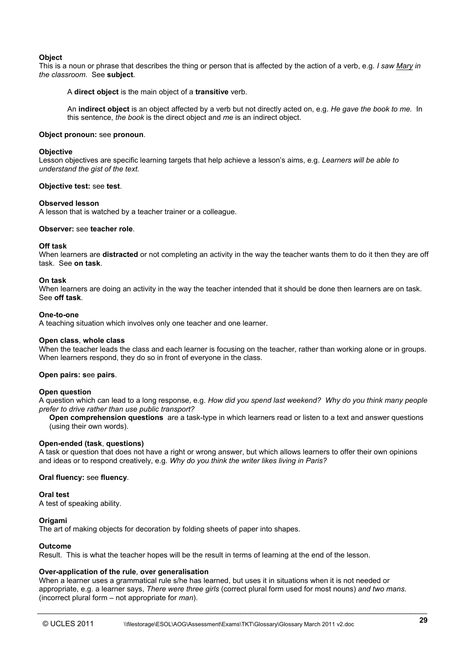## **Object**

This is a noun or phrase that describes the thing or person that is affected by the action of a verb, e.g. *I saw Mary in the classroom.* See **subject**.

A **direct object** is the main object of a **transitive** verb.

 An **indirect object** is an object affected by a verb but not directly acted on, e.g. *He gave the book to me.* In this sentence, *the book* is the direct object and *me* is an indirect object.

# **Object pronoun:** see **pronoun**.

#### **Objective**

Lesson objectives are specific learning targets that help achieve a lesson's aims, e.g. *Learners will be able to understand the gist of the text.*

## **Objective test:** see **test**.

#### **Observed lesson**

A lesson that is watched by a teacher trainer or a colleague.

## **Observer:** see **teacher role**.

#### **Off task**

When learners are **distracted** or not completing an activity in the way the teacher wants them to do it then they are off task. See **on task**.

## **On task**

When learners are doing an activity in the way the teacher intended that it should be done then learners are on task. See **off task**.

## **One-to-one**

A teaching situation which involves only one teacher and one learner.

## **Open class**, **whole class**

When the teacher leads the class and each learner is focusing on the teacher, rather than working alone or in groups. When learners respond, they do so in front of everyone in the class.

## **Open pairs: s**ee **pairs**.

#### **Open question**

A question which can lead to a long response, e.g. *How did you spend last weekend? Why do you think many people prefer to drive rather than use public transport?* 

**Open comprehension questions** are a task-type in which learners read or listen to a text and answer questions (using their own words).

## **Open-ended (task**, **questions)**

A task or question that does not have a right or wrong answer, but which allows learners to offer their own opinions and ideas or to respond creatively, e.g. *Why do you think the writer likes living in Paris?*

#### **Oral fluency:** see **fluency**.

#### **Oral test**

A test of speaking ability.

#### **Origami**

The art of making objects for decoration by folding sheets of paper into shapes.

#### **Outcome**

Result. This is what the teacher hopes will be the result in terms of learning at the end of the lesson.

## **Over-application of the rule**, **over generalisation**

When a learner uses a grammatical rule s/he has learned, but uses it in situations when it is not needed or appropriate, e.g. a learner says, *There were three girls* (correct plural form used for most nouns) *and two mans*. (incorrect plural form – not appropriate for *man*).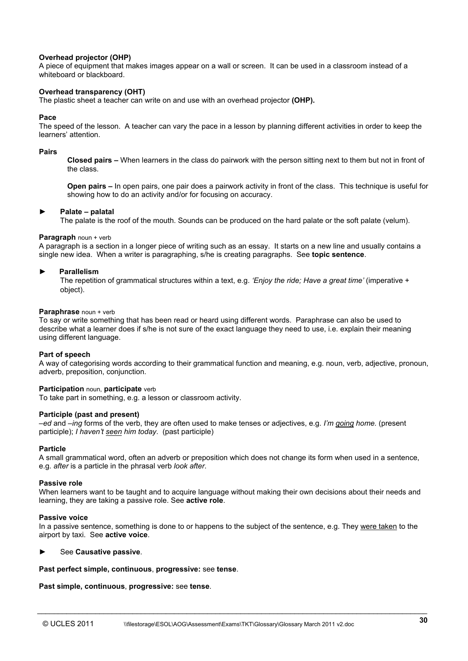## **Overhead projector (OHP)**

A piece of equipment that makes images appear on a wall or screen. It can be used in a classroom instead of a whiteboard or blackboard.

## **Overhead transparency (OHT)**

The plastic sheet a teacher can write on and use with an overhead projector **(OHP).** 

#### **Pace**

The speed of the lesson. A teacher can vary the pace in a lesson by planning different activities in order to keep the learners' attention.

#### **Pairs**

 **Closed pairs –** When learners in the class do pairwork with the person sitting next to them but not in front of the class.

**Open pairs –** In open pairs, one pair does a pairwork activity in front of the class. This technique is useful for showing how to do an activity and/or for focusing on accuracy.

## ► **Palate – palatal**

The palate is the roof of the mouth. Sounds can be produced on the hard palate or the soft palate (velum).

## **Paragraph** noun + verb

A paragraph is a section in a longer piece of writing such as an essay. It starts on a new line and usually contains a single new idea. When a writer is paragraphing, s/he is creating paragraphs. See **topic sentence**.

## ► **Parallelism**

The repetition of grammatical structures within a text, e.g. *'Enjoy the ride; Have a great time'* (imperative + object).

#### **Paraphrase** noun + verb

To say or write something that has been read or heard using different words. Paraphrase can also be used to describe what a learner does if s/he is not sure of the exact language they need to use, i.e. explain their meaning using different language.

#### **Part of speech**

A way of categorising words according to their grammatical function and meaning, e.g. noun, verb, adjective, pronoun, adverb, preposition, conjunction.

## **Participation** noun, **participate** verb

To take part in something, e.g. a lesson or classroom activity.

#### **Participle (past and present)**

*–ed* and *–ing* forms of the verb, they are often used to make tenses or adjectives, e.g. *I'm going home.* (present participle); *I haven't seen him today*. (past participle)

#### **Particle**

A small grammatical word, often an adverb or preposition which does not change its form when used in a sentence, e.g. *after* is a particle in the phrasal verb *look after*.

#### **Passive role**

When learners want to be taught and to acquire language without making their own decisions about their needs and learning, they are taking a passive role. See **active role**.

#### **Passive voice**

In a passive sentence, something is done to or happens to the subject of the sentence, e.g. They were taken to the airport by taxi. See **active voice**.

 $\_$  , and the state of the state of the state of the state of the state of the state of the state of the state of the state of the state of the state of the state of the state of the state of the state of the state of the

#### ► See **Causative passive**.

**Past perfect simple, continuous**, **progressive:** see **tense**.

#### **Past simple, continuous**, **progressive:** see **tense**.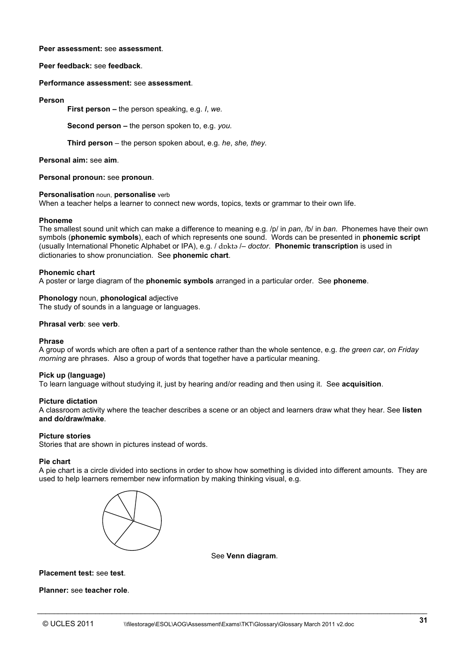#### **Peer assessment:** see **assessment**.

#### **Peer feedback:** see **feedback**.

## **Performance assessment:** see **assessment**.

#### **Person**

 **First person –** the person speaking, e.g. *I*, *we.* 

**Second person –** the person spoken to, e.g. *you.* 

**Third person** – the person spoken about, e.g. *he*, *she, they.* 

**Personal aim:** see **aim**.

**Personal pronoun:** see **pronoun**.

#### **Personalisation** noun, **personalise** verb

When a teacher helps a learner to connect new words, topics, texts or grammar to their own life.

#### **Phoneme**

The smallest sound unit which can make a difference to meaning e.g. /p/ in *pan*, /b/ in *ban*. Phonemes have their own symbols (**phonemic symbols**), each of which represents one sound. Words can be presented in **phonemic script** (usually International Phonetic Alphabet or IPA), e.g. / dpkta /– *doctor*. **Phonemic transcription** is used in dictionaries to show pronunciation. See **phonemic chart**.

#### **Phonemic chart**

A poster or large diagram of the **phonemic symbols** arranged in a particular order. See **phoneme**.

## **Phonology** noun, **phonological** adjective

The study of sounds in a language or languages.

## **Phrasal verb**: see **verb**.

#### **Phrase**

A group of words which are often a part of a sentence rather than the whole sentence, e.g. *the green car*, *on Friday morning* are phrases. Also a group of words that together have a particular meaning.

#### **Pick up (language)**

To learn language without studying it, just by hearing and/or reading and then using it. See **acquisition**.

#### **Picture dictation**

A classroom activity where the teacher describes a scene or an object and learners draw what they hear. See **listen and do/draw/make**.

## **Picture stories**

Stories that are shown in pictures instead of words.

#### **Pie chart**

A pie chart is a circle divided into sections in order to show how something is divided into different amounts. They are used to help learners remember new information by making thinking visual, e.g.



See **Venn diagram**.

 $\_$  , and the state of the state of the state of the state of the state of the state of the state of the state of the state of the state of the state of the state of the state of the state of the state of the state of the

**Placement test:** see **test**.

**Planner:** see **teacher role**.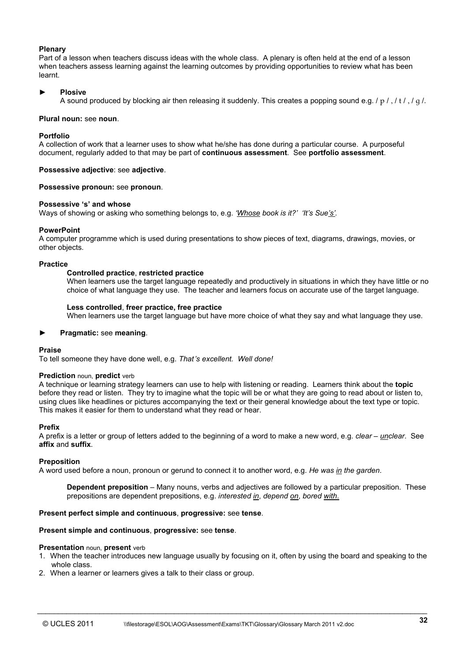# **Plenary**

Part of a lesson when teachers discuss ideas with the whole class. A plenary is often held at the end of a lesson when teachers assess learning against the learning outcomes by providing opportunities to review what has been learnt.

## ► **Plosive**

A sound produced by blocking air then releasing it suddenly. This creates a popping sound e.g.  $/p /$ ,  $l / l$ ,  $l / q / l$ .

#### **Plural noun:** see **noun**.

## **Portfolio**

A collection of work that a learner uses to show what he/she has done during a particular course. A purposeful document, regularly added to that may be part of **continuous assessment**. See **portfolio assessment**.

#### **Possessive adjective**: see **adjective**.

#### **Possessive pronoun:** see **pronoun**.

#### **Possessive 's' and whose**

Ways of showing or asking who something belongs to, e.g. *'Whose book is it?' 'It's Sue's'.*

## **PowerPoint**

A computer programme which is used during presentations to show pieces of text, diagrams, drawings, movies, or other objects.

## **Practice**

## **Controlled practice**, **restricted practice**

When learners use the target language repeatedly and productively in situations in which they have little or no choice of what language they use. The teacher and learners focus on accurate use of the target language.

## **Less controlled**, **freer practice, free practice**

When learners use the target language but have more choice of what they say and what language they use.

#### ► **Pragmatic:** see **meaning**.

#### **Praise**

To tell someone they have done well, e.g. *That's excellent. Well done!*

#### **Prediction** noun, **predict** verb

A technique or learning strategy learners can use to help with listening or reading. Learners think about the **topic** before they read or listen. They try to imagine what the topic will be or what they are going to read about or listen to, using clues like headlines or pictures accompanying the text or their general knowledge about the text type or topic. This makes it easier for them to understand what they read or hear.

#### **Prefix**

A prefix is a letter or group of letters added to the beginning of a word to make a new word, e.g. *clear – unclear*. See **affix** and **suffix**.

#### **Preposition**

A word used before a noun, pronoun or gerund to connect it to another word, e.g. *He was in the garden*.

**Dependent preposition** – Many nouns, verbs and adjectives are followed by a particular preposition. These prepositions are dependent prepositions, e.g. *interested in*, *depend on*, *bored with*.

#### **Present perfect simple and continuous**, **progressive:** see **tense**.

#### **Present simple and continuous**, **progressive:** see **tense**.

#### **Presentation** noun, **present** verb

1. When the teacher introduces new language usually by focusing on it, often by using the board and speaking to the whole class.

 $\_$  , and the state of the state of the state of the state of the state of the state of the state of the state of the state of the state of the state of the state of the state of the state of the state of the state of the

2. When a learner or learners gives a talk to their class or group.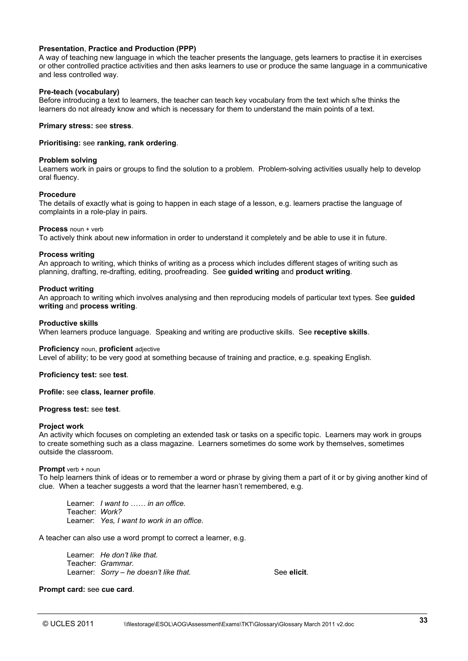## **Presentation**, **Practice and Production (PPP)**

A way of teaching new language in which the teacher presents the language, gets learners to practise it in exercises or other controlled practice activities and then asks learners to use or produce the same language in a communicative and less controlled way.

## **Pre-teach (vocabulary)**

Before introducing a text to learners, the teacher can teach key vocabulary from the text which s/he thinks the learners do not already know and which is necessary for them to understand the main points of a text.

## **Primary stress:** see **stress**.

## **Prioritising:** see **ranking, rank ordering**.

## **Problem solving**

Learners work in pairs or groups to find the solution to a problem. Problem-solving activities usually help to develop oral fluency.

#### **Procedure**

The details of exactly what is going to happen in each stage of a lesson, e.g. learners practise the language of complaints in a role-play in pairs.

#### **Process** noun + verb

To actively think about new information in order to understand it completely and be able to use it in future.

## **Process writing**

An approach to writing, which thinks of writing as a process which includes different stages of writing such as planning, drafting, re-drafting, editing, proofreading. See **guided writing** and **product writing**.

## **Product writing**

An approach to writing which involves analysing and then reproducing models of particular text types. See **guided writing** and **process writing**.

## **Productive skills**

When learners produce language. Speaking and writing are productive skills. See **receptive skills**.

#### **Proficiency** noun, **proficient** adjective

Level of ability; to be very good at something because of training and practice, e.g. speaking English*.*

**Proficiency test:** see **test**.

#### **Profile:** see **class, learner profile**.

## **Progress test:** see **test**.

#### **Project work**

An activity which focuses on completing an extended task or tasks on a specific topic. Learners may work in groups to create something such as a class magazine. Learners sometimes do some work by themselves, sometimes outside the classroom.

#### **Prompt** verb + noun

To help learners think of ideas or to remember a word or phrase by giving them a part of it or by giving another kind of clue. When a teacher suggests a word that the learner hasn't remembered, e.g.

 $\_$  , and the state of the state of the state of the state of the state of the state of the state of the state of the state of the state of the state of the state of the state of the state of the state of the state of the

Learner: *I want to …… in an office.* Teacher: *Work?* Learner: *Yes, I want to work in an office.* 

A teacher can also use a word prompt to correct a learner, e.g.

Learner: *He don't like that.* Teacher: *Grammar.* Learner: *Sorry – he doesn't like that.* **See Elicit**. See **elicit**.

#### **Prompt card:** see **cue card**.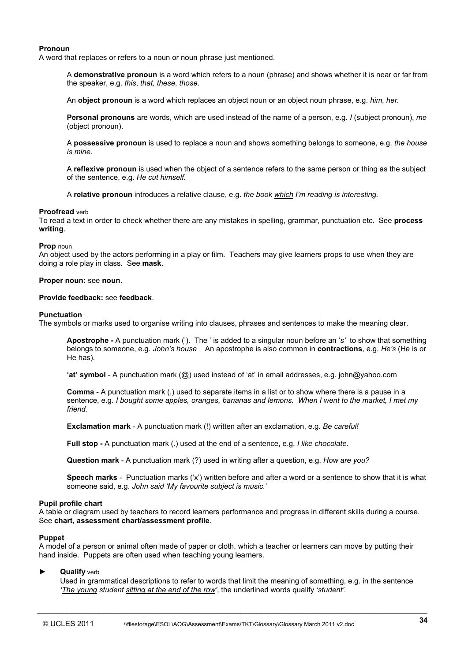## **Pronoun**

A word that replaces or refers to a noun or noun phrase just mentioned.

A **demonstrative pronoun** is a word which refers to a noun (phrase) and shows whether it is near or far from the speaker, e.g. *this*, *that, these*, *those.* 

An **object pronoun** is a word which replaces an object noun or an object noun phrase, e.g. *him*, *her.*

**Personal pronouns** are words, which are used instead of the name of a person, e.g. *I* (subject pronoun), *me* (object pronoun).

A **possessive pronoun** is used to replace a noun and shows something belongs to someone, e.g. *the house is mine.*

A **reflexive pronoun** is used when the object of a sentence refers to the same person or thing as the subject of the sentence, e.g. *He cut himself.*

A **relative pronoun** introduces a relative clause, e.g. *the book which I'm reading is interesting.*

#### **Proofread** verb

To read a text in order to check whether there are any mistakes in spelling, grammar, punctuation etc. See **process writing**.

#### **Prop** noun

An object used by the actors performing in a play or film. Teachers may give learners props to use when they are doing a role play in class. See **mask**.

## **Proper noun:** see **noun**.

#### **Provide feedback:** see **feedback**.

#### **Punctuation**

The symbols or marks used to organise writing into clauses, phrases and sentences to make the meaning clear.

**Apostrophe -** A punctuation mark ('). The ' is added to a singular noun before an '*s'* to show that something belongs to someone, e.g. *John's house* An apostrophe is also common in **contractions**, e.g. *He's* (He is or He has)*.* 

**'at' symbol** - A punctuation mark (@) used instead of 'at' in email addresses, e.g. john@yahoo.com

**Comma** - A punctuation mark (,) used to separate items in a list or to show where there is a pause in a sentence, e.g. *I bought some apples, oranges, bananas and lemons. When I went to the market, I met my friend.*

**Exclamation mark** - A punctuation mark (!) written after an exclamation, e.g. *Be careful!* 

**Full stop -** A punctuation mark (.) used at the end of a sentence, e.g. *I like chocolate.* 

**Question mark** - A punctuation mark (?) used in writing after a question, e.g. *How are you?*

**Speech marks** - Punctuation marks ('x') written before and after a word or a sentence to show that it is what someone said, e.g. *John said 'My favourite subject is music.'*

#### **Pupil profile chart**

A table or diagram used by teachers to record learners performance and progress in different skills during a course. See **chart, assessment chart/assessment profile**.

#### **Puppet**

A model of a person or animal often made of paper or cloth, which a teacher or learners can move by putting their hand inside. Puppets are often used when teaching young learners.

## **Qualify** verb

Used in grammatical descriptions to refer to words that limit the meaning of something, e.g. in the sentence *'The young student sitting at the end of the row'*, the underlined words qualify *'student'*.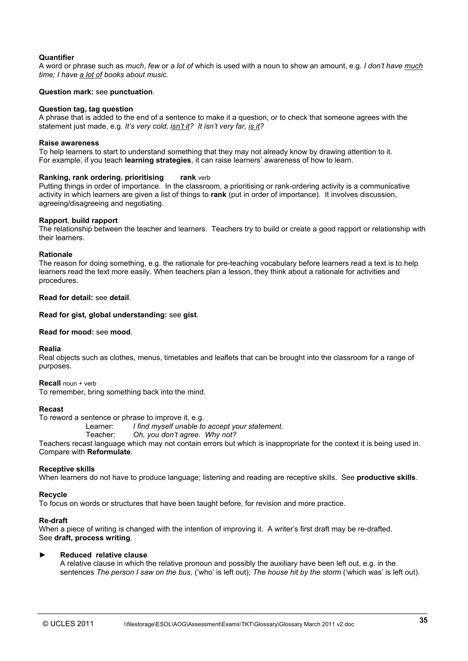## **Quantifier**

A word or phrase such as *much*, *few* or *a lot of* which is used with a noun to show an amount, e.g. *I don't have much time; I have a lot of books about music.*

## **Question mark:** see **punctuation**.

## **Question tag, tag question**

A phrase that is added to the end of a sentence to make it a question, or to check that someone agrees with the statement just made, e.g*. It's very cold, isn't it? It isn't very far, is it?*

## **Raise awareness**

To help learners to start to understand something that they may not already know by drawing attention to it. For example, if you teach **learning strategies**, it can raise learners' awareness of how to learn.

## **Ranking, rank ordering, prioritising rank** verb

Putting things in order of importance. In the classroom, a prioritising or rank-ordering activity is a communicative activity in which learners are given a list of things to **rank** (put in order of importance). It involves discussion, agreeing/disagreeing and negotiating.

## **Rapport**, **build rapport**

The relationship between the teacher and learners. Teachers try to build or create a good rapport or relationship with their learners.

## **Rationale**

The reason for doing something, e.g. the rationale for pre-teaching vocabulary before learners read a text is to help learners read the text more easily. When teachers plan a lesson, they think about a rationale for activities and procedures.

## **Read for detail:** see **detail**.

## **Read for gist, global understanding:** see **gist**.

#### **Read for mood:** see **mood**.

#### **Realia**

Real objects such as clothes, menus, timetables and leaflets that can be brought into the classroom for a range of purposes.

# **Recall** noun + verb

To remember, bring something back into the mind.

## **Recast**

To reword a sentence or phrase to improve it, e.g.

Learner: *I find myself unable to accept your statement.* 

Oh, you don't agree. Why not?

Teachers recast language which may not contain errors but which is inappropriate for the context it is being used in. Compare with **Reformulate**.

#### **Receptive skills**

When learners do not have to produce language; listening and reading are receptive skills. See **productive skills**.

## **Recycle**

To focus on words or structures that have been taught before, for revision and more practice.

#### **Re-draft**

When a piece of writing is changed with the intention of improving it. A writer's first draft may be re-drafted. See **draft, process writing**.

#### ► **Reduced relative clause**

A relative clause in which the relative pronoun and possibly the auxiliary have been left out, e.g. in the sentences *The person I saw on the bus,* ('who' is left out); *The house hit by the storm* ('which was' is left out).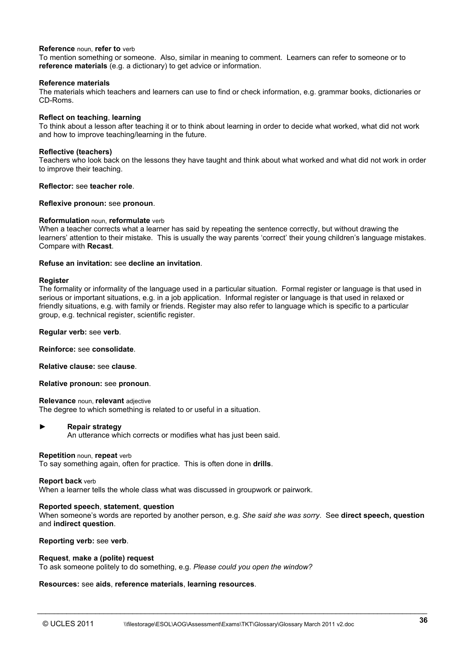## **Reference** noun, **refer to** verb

To mention something or someone. Also, similar in meaning to comment. Learners can refer to someone or to **reference materials** (e.g. a dictionary) to get advice or information.

## **Reference materials**

The materials which teachers and learners can use to find or check information, e.g. grammar books, dictionaries or CD-Roms.

## **Reflect on teaching**, **learning**

To think about a lesson after teaching it or to think about learning in order to decide what worked, what did not work and how to improve teaching/learning in the future.

#### **Reflective (teachers)**

Teachers who look back on the lessons they have taught and think about what worked and what did not work in order to improve their teaching.

#### **Reflector:** see **teacher role**.

## **Reflexive pronoun:** see **pronoun**.

#### **Reformulation** noun, **reformulate** verb

When a teacher corrects what a learner has said by repeating the sentence correctly, but without drawing the learners' attention to their mistake. This is usually the way parents 'correct' their young children's language mistakes. Compare with **Recast**.

#### **Refuse an invitation:** see **decline an invitation**.

#### **Register**

The formality or informality of the language used in a particular situation. Formal register or language is that used in serious or important situations, e.g. in a job application. Informal register or language is that used in relaxed or friendly situations, e.g. with family or friends. Register may also refer to language which is specific to a particular group, e.g. technical register, scientific register.

**Regular verb:** see **verb**.

**Reinforce:** see **consolidate**.

**Relative clause:** see **clause**.

**Relative pronoun:** see **pronoun**.

#### **Relevance** noun, **relevant** adjective

The degree to which something is related to or useful in a situation.

#### ► **Repair strategy**

An utterance which corrects or modifies what has just been said.

#### **Repetition** noun, **repeat** verb

To say something again, often for practice. This is often done in **drills**.

#### **Report back** verb

When a learner tells the whole class what was discussed in groupwork or pairwork.

#### **Reported speech**, **statement**, **question**

When someone's words are reported by another person, e.g. *She said she was sorry*. See **direct speech, question**  and **indirect question**.

 $\_$  , and the state of the state of the state of the state of the state of the state of the state of the state of the state of the state of the state of the state of the state of the state of the state of the state of the

#### **Reporting verb:** see **verb**.

#### **Request**, **make a (polite) request**

To ask someone politely to do something, e.g. *Please could you open the window?*

#### **Resources:** see **aids**, **reference materials**, **learning resources**.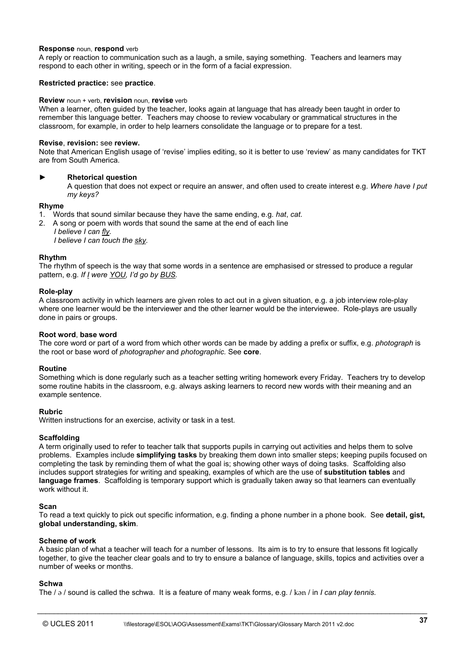## **Response** noun, **respond** verb

A reply or reaction to communication such as a laugh, a smile, saying something. Teachers and learners may respond to each other in writing, speech or in the form of a facial expression.

## **Restricted practice:** see **practice**.

#### **Review** noun + verb, **revision** noun, **revise** verb

When a learner, often guided by the teacher, looks again at language that has already been taught in order to remember this language better. Teachers may choose to review vocabulary or grammatical structures in the classroom, for example, in order to help learners consolidate the language or to prepare for a test.

## **Revise**, **revision:** see **review.**

Note that American English usage of 'revise' implies editing, so it is better to use 'review' as many candidates for TKT are from South America.

## ► **Rhetorical question**

 A question that does not expect or require an answer, and often used to create interest e.g. *Where have I put my keys?*

## **Rhyme**

- 1. Words that sound similar because they have the same ending, e.g. *hat*, *cat*.
- 2. A song or poem with words that sound the same at the end of each line

*I believe I can fly. I believe I can touch the sky.*

# **Rhythm**

The rhythm of speech is the way that some words in a sentence are emphasised or stressed to produce a regular pattern, e.g. *If I were YOU, I'd go by BUS.*

## **Role-play**

A classroom activity in which learners are given roles to act out in a given situation, e.g. a job interview role-play where one learner would be the interviewer and the other learner would be the interviewee. Role-plays are usually done in pairs or groups.

## **Root word**, **base word**

The core word or part of a word from which other words can be made by adding a prefix or suffix, e.g. *photograph* is the root or base word of *photographer* and *photographic.* See **core**.

#### **Routine**

Something which is done regularly such as a teacher setting writing homework every Friday. Teachers try to develop some routine habits in the classroom, e.g. always asking learners to record new words with their meaning and an example sentence.

## **Rubric**

Written instructions for an exercise, activity or task in a test.

## **Scaffolding**

A term originally used to refer to teacher talk that supports pupils in carrying out activities and helps them to solve problems. Examples include **simplifying tasks** by breaking them down into smaller steps; keeping pupils focused on completing the task by reminding them of what the goal is; showing other ways of doing tasks. Scaffolding also includes support strategies for writing and speaking, examples of which are the use of **substitution tables** and **language frames**. Scaffolding is temporary support which is gradually taken away so that learners can eventually work without it.

#### **Scan**

To read a text quickly to pick out specific information, e.g. finding a phone number in a phone book. See **detail, gist, global understanding, skim**.

## **Scheme of work**

A basic plan of what a teacher will teach for a number of lessons. Its aim is to try to ensure that lessons fit logically together, to give the teacher clear goals and to try to ensure a balance of language, skills, topics and activities over a number of weeks or months.

## **Schwa**

The /  $\partial$  / sound is called the schwa. It is a feature of many weak forms, e.g. / kan / in *I can play tennis.*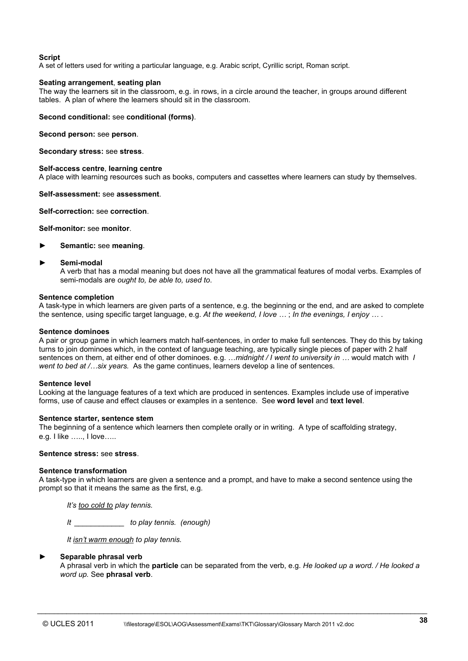## **Script**

A set of letters used for writing a particular language, e.g. Arabic script, Cyrillic script, Roman script.

#### **Seating arrangement**, **seating plan**

The way the learners sit in the classroom, e.g. in rows, in a circle around the teacher, in groups around different tables. A plan of where the learners should sit in the classroom.

## **Second conditional:** see **conditional (forms)**.

**Second person:** see **person**.

**Secondary stress:** see **stress**.

#### **Self-access centre**, **learning centre**

A place with learning resources such as books, computers and cassettes where learners can study by themselves.

#### **Self-assessment:** see **assessment**.

**Self-correction:** see **correction**.

**Self-monitor:** see **monitor**.

## ► **Semantic:** see **meaning**.

#### ► **Semi-modal**

A verb that has a modal meaning but does not have all the grammatical features of modal verbs. Examples of semi-modals are *ought to, be able to, used to*.

#### **Sentence completion**

A task-type in which learners are given parts of a sentence, e.g. the beginning or the end, and are asked to complete the sentence, using specific target language, e.g. *At the weekend, I love …* ; *In the evenings, I enjoy …* .

#### **Sentence dominoes**

A pair or group game in which learners match half-sentences, in order to make full sentences. They do this by taking turns to join dominoes which, in the context of language teaching, are typically single pieces of paper with 2 half sentences on them, at either end of other dominoes. e.g. …*midnight / I went to university in …* would match with *I went to bed at /…six years.* As the game continues, learners develop a line of sentences.

#### **Sentence level**

Looking at the language features of a text which are produced in sentences. Examples include use of imperative forms, use of cause and effect clauses or examples in a sentence. See **word level** and **text level**.

#### **Sentence starter, sentence stem**

The beginning of a sentence which learners then complete orally or in writing. A type of scaffolding strategy, e.g. I like ….., I love…..

## **Sentence stress:** see **stress**.

## **Sentence transformation**

A task-type in which learners are given a sentence and a prompt, and have to make a second sentence using the prompt so that it means the same as the first, e.g.

*It's too cold to play tennis.* 

*It \_\_\_\_\_\_\_\_\_\_\_\_ to play tennis. (enough)* 

*It isn't warm enough to play tennis.*

#### ► **Separable phrasal verb**

A phrasal verb in which the **particle** can be separated from the verb, e.g. *He looked up a word. / He looked a word up.* See **phrasal verb**.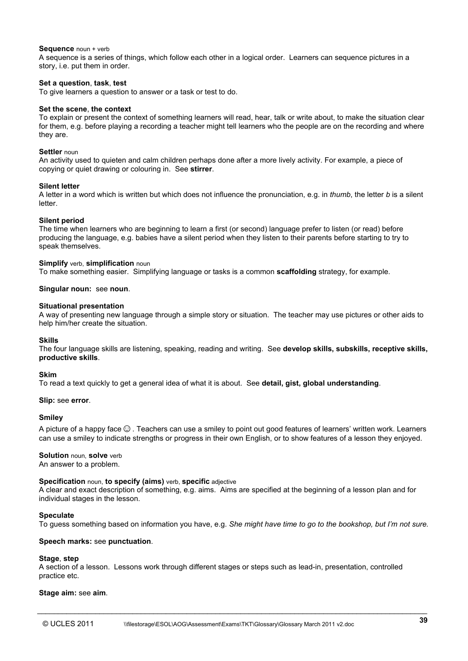## **Sequence** noun + verb

A sequence is a series of things, which follow each other in a logical order. Learners can sequence pictures in a story, i.e. put them in order.

## **Set a question**, **task**, **test**

To give learners a question to answer or a task or test to do.

## **Set the scene**, **the context**

To explain or present the context of something learners will read, hear, talk or write about, to make the situation clear for them, e.g. before playing a recording a teacher might tell learners who the people are on the recording and where they are.

#### **Settler** noun

An activity used to quieten and calm children perhaps done after a more lively activity. For example, a piece of copying or quiet drawing or colouring in. See **stirrer**.

#### **Silent letter**

A letter in a word which is written but which does not influence the pronunciation, e.g. in *thumb*, the letter *b* is a silent letter.

#### **Silent period**

The time when learners who are beginning to learn a first (or second) language prefer to listen (or read) before producing the language, e.g. babies have a silent period when they listen to their parents before starting to try to speak themselves.

# **Simplify** verb, **simplification** noun

To make something easier. Simplifying language or tasks is a common **scaffolding** strategy, for example.

## **Singular noun:** see **noun**.

## **Situational presentation**

A way of presenting new language through a simple story or situation. The teacher may use pictures or other aids to help him/her create the situation.

#### **Skills**

The four language skills are listening, speaking, reading and writing. See **develop skills, subskills, receptive skills, productive skills**.

#### **Skim**

To read a text quickly to get a general idea of what it is about. See **detail, gist, global understanding**.

#### **Slip:** see **error**.

#### **Smiley**

A picture of a happy face ☺. Teachers can use a smiley to point out good features of learners' written work. Learners can use a smiley to indicate strengths or progress in their own English, or to show features of a lesson they enjoyed.

#### **Solution** noun, **solve** verb

An answer to a problem.

#### **Specification** noun, **to specify (aims)** verb, **specific** adjective

A clear and exact description of something, e.g. aims. Aims are specified at the beginning of a lesson plan and for individual stages in the lesson.

#### **Speculate**

To guess something based on information you have, e.g. *She might have time to go to the bookshop, but I'm not sure.*

 $\_$  , and the state of the state of the state of the state of the state of the state of the state of the state of the state of the state of the state of the state of the state of the state of the state of the state of the

#### **Speech marks:** see **punctuation**.

#### **Stage**, **step**

A section of a lesson. Lessons work through different stages or steps such as lead-in, presentation, controlled practice etc.

#### **Stage aim:** see **aim**.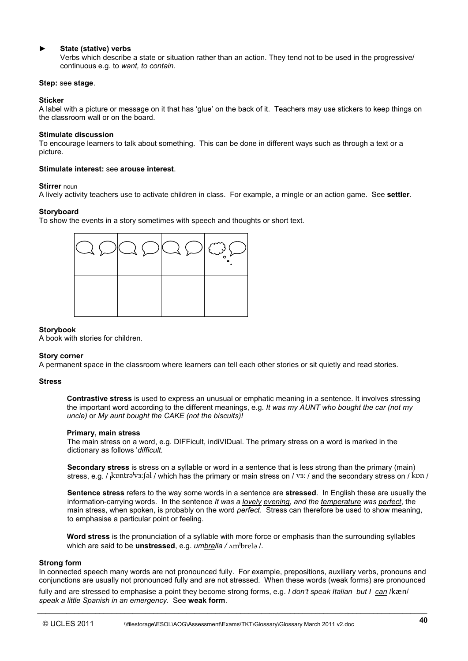## ► **State (stative) verbs**

Verbs which describe a state or situation rather than an action. They tend not to be used in the progressive/ continuous e.g. to *want, to contain.*

## **Step:** see **stage**.

## **Sticker**

A label with a picture or message on it that has 'glue' on the back of it. Teachers may use stickers to keep things on the classroom wall or on the board.

## **Stimulate discussion**

To encourage learners to talk about something. This can be done in different ways such as through a text or a picture.

# **Stimulate interest:** see **arouse interest**.

## **Stirrer** noun

A lively activity teachers use to activate children in class. For example, a mingle or an action game. See **settler**.

## **Storyboard**

To show the events in a story sometimes with speech and thoughts or short text.



#### **Storybook**

A book with stories for children.

#### **Story corner**

A permanent space in the classroom where learners can tell each other stories or sit quietly and read stories.

## **Stress**

**Contrastive stress** is used to express an unusual or emphatic meaning in a sentence. It involves stressing the important word according to the different meanings, e.g. *It was my AUNT who bought the car (not my uncle)* or *My aunt bought the CAKE (not the biscuits)!* 

#### **Primary, main stress**

 The main stress on a word, e.g. DIFFicult, indiVIDual. The primary stress on a word is marked in the dictionary as follows '*difficult.*

 **Secondary stress** is stress on a syllable or word in a sentence that is less strong than the primary (main) stress, e.g. / kbntravs: [a] / which has the primary or main stress on / v<sub>3</sub>: / and the secondary stress on / kbn /

**Sentence stress** refers to the way some words in a sentence are **stressed**. In English these are usually the information-carrying words. In the sentence *It was a lovely evening*, *and the temperature was perfect*, the main stress, when spoken, is probably on the word *perfect*. Stress can therefore be used to show meaning, to emphasise a particular point or feeling.

**Word stress** is the pronunciation of a syllable with more force or emphasis than the surrounding syllables which are said to be **unstressed**, e.g. *umbrella / Am<sup>t</sup>brela /.* 

#### **Strong form**

In connected speech many words are not pronounced fully. For example, prepositions, auxiliary verbs, pronouns and conjunctions are usually not pronounced fully and are not stressed. When these words (weak forms) are pronounced

 $\_$  , and the state of the state of the state of the state of the state of the state of the state of the state of the state of the state of the state of the state of the state of the state of the state of the state of the

fully and are stressed to emphasise a point they become strong forms, e.g. *I don't speak Italian but I can* /kæn/ *speak a little Spanish in an emergency*. See **weak form**.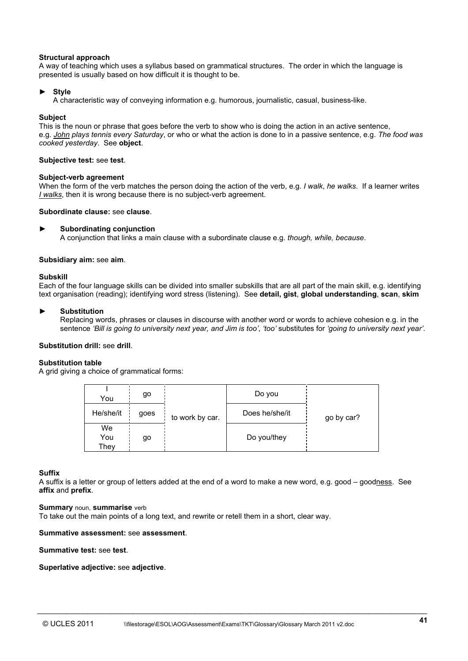## **Structural approach**

A way of teaching which uses a syllabus based on grammatical structures. The order in which the language is presented is usually based on how difficult it is thought to be.

## ► **Style**

A characteristic way of conveying information e.g. humorous, journalistic, casual, business-like.

## **Subject**

This is the noun or phrase that goes before the verb to show who is doing the action in an active sentence, e.g. *John plays tennis every Saturday*, or who or what the action is done to in a passive sentence, e.g. *The food was cooked yesterday*. See **object**.

#### **Subjective test:** see **test**.

#### **Subject-verb agreement**

When the form of the verb matches the person doing the action of the verb, e.g. *I walk*, *he walks*. If a learner writes *I walks*, then it is wrong because there is no subject-verb agreement.

## **Subordinate clause:** see **clause**.

## ► **Subordinating conjunction**

A conjunction that links a main clause with a subordinate clause e.g. *though, while, because*.

## **Subsidiary aim:** see **aim**.

## **Subskill**

Each of the four language skills can be divided into smaller subskills that are all part of the main skill, e.g. identifying text organisation (reading); identifying word stress (listening). See **detail, gist**, **global understanding**, **scan**, **skim**

## ► **Substitution**

Replacing words, phrases or clauses in discourse with another word or words to achieve cohesion e.g. in the sentence *'Bill is going to university next year, and Jim is too'*, *'too'* substitutes for *'going to university next year'*.

## **Substitution drill:** see **drill**.

#### **Substitution table**

A grid giving a choice of grammatical forms:

| You               | go   | to work by car. | Do you         |            |
|-------------------|------|-----------------|----------------|------------|
| He/she/it         | goes |                 | Does he/she/it | go by car? |
| We<br>You<br>Thev | go   |                 | Do you/they    |            |

#### **Suffix**

A suffix is a letter or group of letters added at the end of a word to make a new word, e.g. good – goodness. See **affix** and **prefix**.

 $\_$  , and the state of the state of the state of the state of the state of the state of the state of the state of the state of the state of the state of the state of the state of the state of the state of the state of the

#### **Summary** noun, **summarise** verb

To take out the main points of a long text, and rewrite or retell them in a short, clear way.

#### **Summative assessment:** see **assessment**.

## **Summative test:** see **test**.

#### **Superlative adjective:** see **adjective**.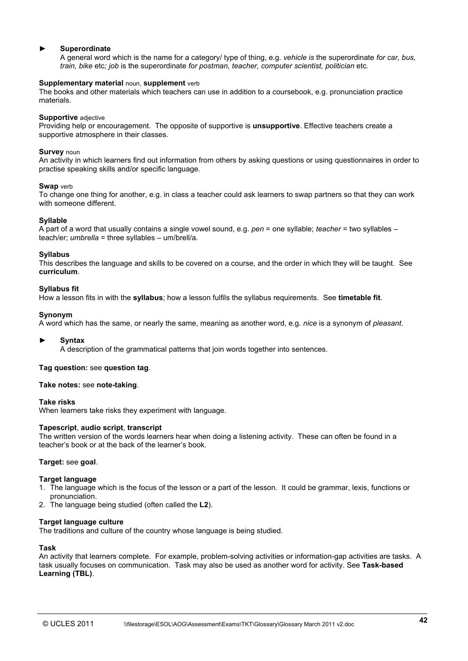# ► **Superordinate**

A general word which is the name for a category/ type of thing, e.g. *vehicle is* the superordinate *for car, bus, train, bike* etc*; job* is the superordinate *for postman, teacher, computer scientist, politician* etc*.*

## **Supplementary material** noun, **supplement** verb

The books and other materials which teachers can use in addition to a coursebook, e.g. pronunciation practice materials.

# **Supportive** adjective

Providing help or encouragement. The opposite of supportive is **unsupportive**. Effective teachers create a supportive atmosphere in their classes.

## **Survey** noun

An activity in which learners find out information from others by asking questions or using questionnaires in order to practise speaking skills and/or specific language.

## **Swap** verb

To change one thing for another, e.g. in class a teacher could ask learners to swap partners so that they can work with someone different.

## **Syllable**

A part of a word that usually contains a single vowel sound, e.g. *pen* = one syllable; *teacher* = two syllables – teach/er; *umbrella* = three syllables – um/brell/a.

## **Syllabus**

This describes the language and skills to be covered on a course, and the order in which they will be taught. See **curriculum**.

## **Syllabus fit**

How a lesson fits in with the **syllabus**; how a lesson fulfils the syllabus requirements. See **timetable fit**.

## **Synonym**

A word which has the same, or nearly the same, meaning as another word, e.g. *nice* is a synonym of *pleasant*.

► **Syntax** 

A description of the grammatical patterns that join words together into sentences.

#### **Tag question:** see **question tag**.

#### **Take notes:** see **note-taking**.

## **Take risks**

When learners take risks they experiment with language.

## **Tapescript**, **audio script**, **transcript**

The written version of the words learners hear when doing a listening activity. These can often be found in a teacher's book or at the back of the learner's book.

## **Target:** see **goal**.

#### **Target language**

- 1. The language which is the focus of the lesson or a part of the lesson. It could be grammar, lexis, functions or pronunciation.
- 2. The language being studied (often called the **L2**).

#### **Target language culture**

The traditions and culture of the country whose language is being studied.

## **Task**

An activity that learners complete. For example, problem-solving activities or information-gap activities are tasks. A task usually focuses on communication. Task may also be used as another word for activity. See **Task-based Learning (TBL)**.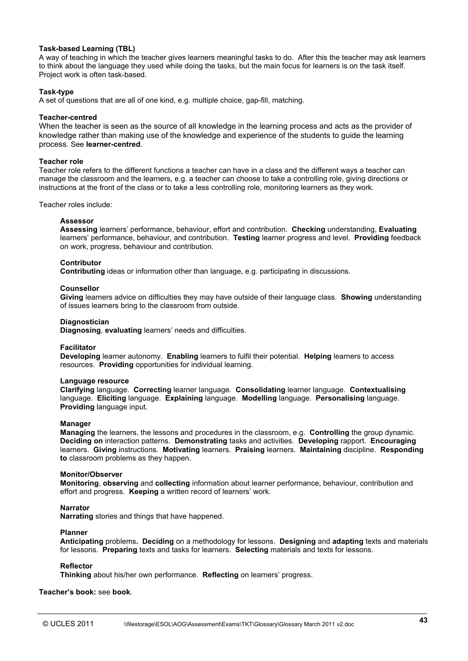## **Task-based Learning (TBL)**

A way of teaching in which the teacher gives learners meaningful tasks to do. After this the teacher may ask learners to think about the language they used while doing the tasks, but the main focus for learners is on the task itself. Project work is often task-based.

## **Task-type**

A set of questions that are all of one kind, e.g. multiple choice, gap-fill, matching.

#### **Teacher-centred**

When the teacher is seen as the source of all knowledge in the learning process and acts as the provider of knowledge rather than making use of the knowledge and experience of the students to guide the learning process. See **learner-centred**.

## **Teacher role**

Teacher role refers to the different functions a teacher can have in a class and the different ways a teacher can manage the classroom and the learners, e.g. a teacher can choose to take a controlling role, giving directions or instructions at the front of the class or to take a less controlling role, monitoring learners as they work.

Teacher roles include:

## **Assessor**

**Assessing** learners' performance, behaviour, effort and contribution. **Checking** understanding, **Evaluating** learners' performance, behaviour, and contribution. **Testing** learner progress and level. **Providing** feedback on work, progress, behaviour and contribution.

## **Contributor**

**Contributing** ideas or information other than language, e.g. participating in discussions.

#### **Counsellor**

**Giving** learners advice on difficulties they may have outside of their language class. **Showing** understanding of issues learners bring to the classroom from outside.

## **Diagnostician**

**Diagnosing**, **evaluating** learners' needs and difficulties.

#### **Facilitator**

**Developing** learner autonomy. **Enabling** learners to fulfil their potential. **Helping** learners to access resources. **Providing** opportunities for individual learning.

## **Language resource**

**Clarifying** language. **Correcting** learner language. **Consolidating** learner language. **Contextualising** language. **Eliciting** language. **Explaining** language. **Modelling** language. **Personalising** language. **Providing** language input.

#### **Manager**

**Managing** the learners, the lessons and procedures in the classroom, e.g. **Controlling** the group dynamic. **Deciding on** interaction patterns. **Demonstrating** tasks and activities. **Developing** rapport. **Encouraging**  learners. **Giving** instructions. **Motivating** learners. **Praising** learners. **Maintaining** discipline. **Responding to** classroom problems as they happen.

#### **Monitor/Observer**

**Monitoring**, **observing** and **collecting** information about learner performance, behaviour, contribution and effort and progress. **Keeping** a written record of learners' work.

#### **Narrator**

**Narrating** stories and things that have happened.

#### **Planner**

**Anticipating** problems**. Deciding** on a methodology for lessons. **Designing** and **adapting** texts and materials for lessons. **Preparing** texts and tasks for learners. **Selecting** materials and texts for lessons.

 $\_$  , and the state of the state of the state of the state of the state of the state of the state of the state of the state of the state of the state of the state of the state of the state of the state of the state of the

#### **Reflector**

**Thinking** about his/her own performance. **Reflecting** on learners' progress.

#### **Teacher's book:** see **book**.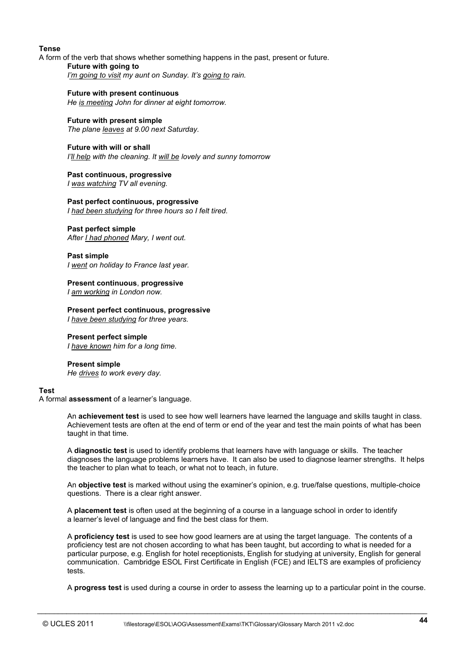# **Tense**

A form of the verb that shows whether something happens in the past, present or future.

**Future with going to** 

*I'm going to visit my aunt on Sunday. It's going to rain.* 

**Future with present continuous**  *He is meeting John for dinner at eight tomorrow.* 

# **Future with present simple**

*The plane leaves at 9.00 next Saturday.* 

## **Future with will or shall**

*I'll help with the cleaning. It will be lovely and sunny tomorrow* 

#### **Past continuous, progressive**  *I was watching TV all evening.*

**Past perfect continuous, progressive**  *I had been studying for three hours so I felt tired.* 

## **Past perfect simple**

*After I had phoned Mary, I went out.* 

## **Past simple**

*I went on holiday to France last year.*

# **Present continuous**, **progressive**

*I am working in London now.* 

# **Present perfect continuous, progressive**

*I have been studying for three years.* 

## **Present perfect simple**

*I have known him for a long time.* 

# **Present simple**

*He drives to work every day.* 

#### **Test**

A formal **assessment** of a learner's language.

An **achievement test** is used to see how well learners have learned the language and skills taught in class. Achievement tests are often at the end of term or end of the year and test the main points of what has been taught in that time.

A **diagnostic test** is used to identify problems that learners have with language or skills. The teacher diagnoses the language problems learners have. It can also be used to diagnose learner strengths. It helps the teacher to plan what to teach, or what not to teach, in future.

An **objective test** is marked without using the examiner's opinion, e.g. true/false questions, multiple-choice questions. There is a clear right answer.

A **placement test** is often used at the beginning of a course in a language school in order to identify a learner's level of language and find the best class for them.

A **proficiency test** is used to see how good learners are at using the target language. The contents of a proficiency test are not chosen according to what has been taught, but according to what is needed for a particular purpose, e.g. English for hotel receptionists, English for studying at university, English for general communication. Cambridge ESOL First Certificate in English (FCE) and IELTS are examples of proficiency tests.

A **progress test** is used during a course in order to assess the learning up to a particular point in the course.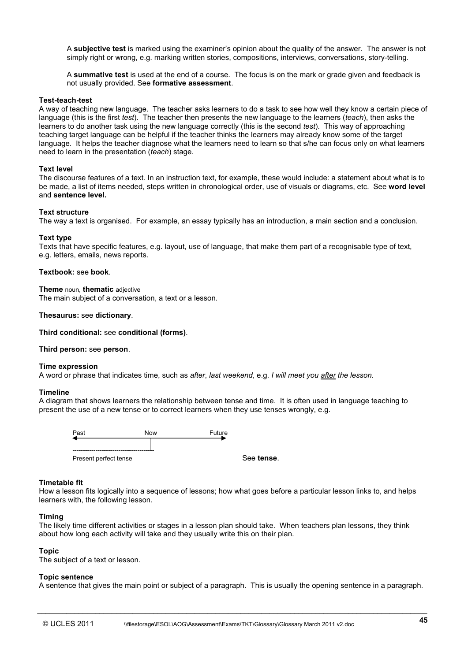A **subjective test** is marked using the examiner's opinion about the quality of the answer. The answer is not simply right or wrong, e.g. marking written stories, compositions, interviews, conversations, story-telling.

A **summative test** is used at the end of a course. The focus is on the mark or grade given and feedback is not usually provided. See **formative assessment**.

## **Test-teach-test**

A way of teaching new language. The teacher asks learners to do a task to see how well they know a certain piece of language (this is the first *test*). The teacher then presents the new language to the learners (*teach*), then asks the learners to do another task using the new language correctly (this is the second *test*). This way of approaching teaching target language can be helpful if the teacher thinks the learners may already know some of the target language. It helps the teacher diagnose what the learners need to learn so that s/he can focus only on what learners need to learn in the presentation (*teach*) stage.

## **Text level**

The discourse features of a text. In an instruction text, for example, these would include: a statement about what is to be made, a list of items needed, steps written in chronological order, use of visuals or diagrams, etc. See **word level** and **sentence level.** 

## **Text structure**

The way a text is organised. For example, an essay typically has an introduction, a main section and a conclusion.

## **Text type**

Texts that have specific features, e.g. layout, use of language, that make them part of a recognisable type of text, e.g. letters, emails, news reports.

## **Textbook:** see **book**.

## **Theme** noun, **thematic** adjective

The main subject of a conversation, a text or a lesson.

## **Thesaurus:** see **dictionary**.

#### **Third conditional:** see **conditional (forms)**.

#### **Third person:** see **person**.

#### **Time expression**

A word or phrase that indicates time, such as *after*, *last weekend*, e.g. *I will meet you after the lesson*.

#### **Timeline**

A diagram that shows learners the relationship between tense and time. It is often used in language teaching to present the use of a new tense or to correct learners when they use tenses wrongly, e.g.



## **Timetable fit**

How a lesson fits logically into a sequence of lessons; how what goes before a particular lesson links to, and helps learners with, the following lesson.

## **Timing**

The likely time different activities or stages in a lesson plan should take. When teachers plan lessons, they think about how long each activity will take and they usually write this on their plan.

#### **Topic**

The subject of a text or lesson.

#### **Topic sentence**

A sentence that gives the main point or subject of a paragraph. This is usually the opening sentence in a paragraph.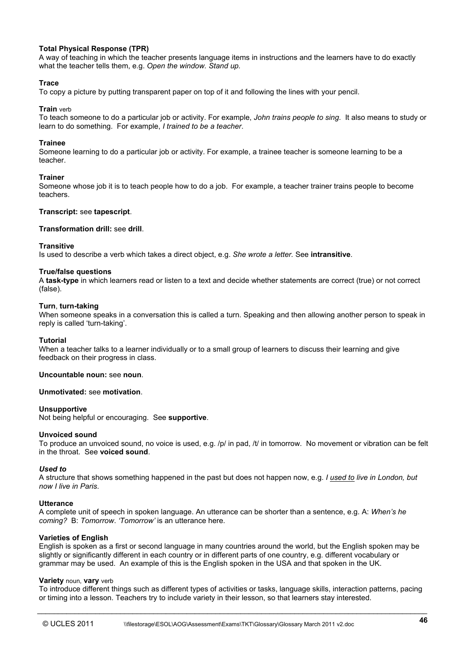# **Total Physical Response (TPR)**

A way of teaching in which the teacher presents language items in instructions and the learners have to do exactly what the teacher tells them, e.g. *Open the window. Stand up.*

## **Trace**

To copy a picture by putting transparent paper on top of it and following the lines with your pencil.

#### **Train** verb

To teach someone to do a particular job or activity. For example, *John trains people to sing*. It also means to study or learn to do something. For example, *I trained to be a teacher*.

## **Trainee**

Someone learning to do a particular job or activity. For example, a trainee teacher is someone learning to be a teacher.

## **Trainer**

Someone whose job it is to teach people how to do a job. For example, a teacher trainer trains people to become teachers.

## **Transcript:** see **tapescript**.

## **Transformation drill:** see **drill**.

#### **Transitive**

Is used to describe a verb which takes a direct object, e.g. *She wrote a letter.* See **intransitive**.

# **True/false questions**

A **task-type** in which learners read or listen to a text and decide whether statements are correct (true) or not correct (false).

## **Turn**, **turn-taking**

When someone speaks in a conversation this is called a turn. Speaking and then allowing another person to speak in reply is called 'turn-taking'.

## **Tutorial**

When a teacher talks to a learner individually or to a small group of learners to discuss their learning and give feedback on their progress in class.

#### **Uncountable noun:** see **noun**.

#### **Unmotivated:** see **motivation**.

#### **Unsupportive**

Not being helpful or encouraging. See **supportive**.

#### **Unvoiced sound**

To produce an unvoiced sound, no voice is used, e.g. /p/ in pad, /t/ in tomorrow. No movement or vibration can be felt in the throat. See **voiced sound**.

#### *Used to*

A structure that shows something happened in the past but does not happen now, e.g. *I used to live in London, but now I live in Paris*.

#### **Utterance**

A complete unit of speech in spoken language. An utterance can be shorter than a sentence, e.g. A: *When's he coming?* B: *Tomorrow*. *'Tomorrow'* is an utterance here.

## **Varieties of English**

English is spoken as a first or second language in many countries around the world, but the English spoken may be slightly or significantly different in each country or in different parts of one country, e.g. different vocabulary or grammar may be used. An example of this is the English spoken in the USA and that spoken in the UK.

## **Variety** noun, **vary** verb

To introduce different things such as different types of activities or tasks, language skills, interaction patterns, pacing or timing into a lesson. Teachers try to include variety in their lesson, so that learners stay interested.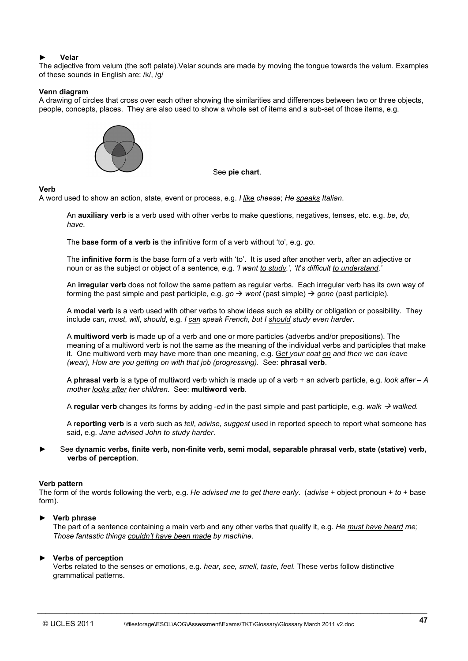# ► **Velar**

The adjective from velum (the soft palate).Velar sounds are made by moving the tongue towards the velum. Examples of these sounds in English are: /k/, /g/

## **Venn diagram**

A drawing of circles that cross over each other showing the similarities and differences between two or three objects, people, concepts, places. They are also used to show a whole set of items and a sub-set of those items, e.g.



See **pie chart**.

## **Verb**

A word used to show an action, state, event or process, e.g. *I like cheese*; *He speaks Italian*.

An **auxiliary verb** is a verb used with other verbs to make questions, negatives, tenses, etc. e.g. *be*, *do*, *have*.

The **base form of a verb is** the infinitive form of a verb without 'to', e.g. *go*.

The **infinitive form** is the base form of a verb with 'to'. It is used after another verb, after an adjective or noun or as the subject or object of a sentence, e.g. *'I want to study.', 'It*'*s difficult to understand*.*'* 

An **irregular verb** does not follow the same pattern as regular verbs. Each irregular verb has its own way of forming the past simple and past participle, e.g.  $g \circ \rightarrow$  went (past simple)  $\rightarrow$  gone (past participle).

A **modal verb** is a verb used with other verbs to show ideas such as ability or obligation or possibility. They include *can*, *must*, *will*, *should*, e.g. *I can speak French, but I should study even harder*.

A **multiword verb** is made up of a verb and one or more particles (adverbs and/or prepositions). The meaning of a multiword verb is not the same as the meaning of the individual verbs and participles that make it. One multiword verb may have more than one meaning, e.g. G*et your coat on and then we can leave (wear), How are you getting on with that job (progressing).* See: **phrasal verb**.

A **phrasal verb** is a type of multiword verb which is made up of a verb + an adverb particle, e.g. *look after* – *A mother looks after her children*. See: **multiword verb**.

A **regular verb** changes its forms by adding *-ed* in the past simple and past participle, e.g. *walk*  $\rightarrow$  *walked.* 

A r**eporting verb** is a verb such as *tell*, *advise*, *suggest* used in reported speech to report what someone has said, e.g. *Jane advised John to study harder*.

► See **dynamic verbs, finite verb, non-finite verb, semi modal, separable phrasal verb, state (stative) verb, verbs of perception**.

#### **Verb pattern**

The form of the words following the verb, e.g. *He advised me to get there early*. (*advise* + object pronoun + *to* + base form).

#### ► **Verb phrase**

The part of a sentence containing a main verb and any other verbs that qualify it, e.g. *He must have heard me; Those fantastic things couldn't have been made by machine*.

#### ► **Verbs of perception**

Verbs related to the senses or emotions, e.g. *hear, see, smell, taste, feel.* These verbs follow distinctive grammatical patterns.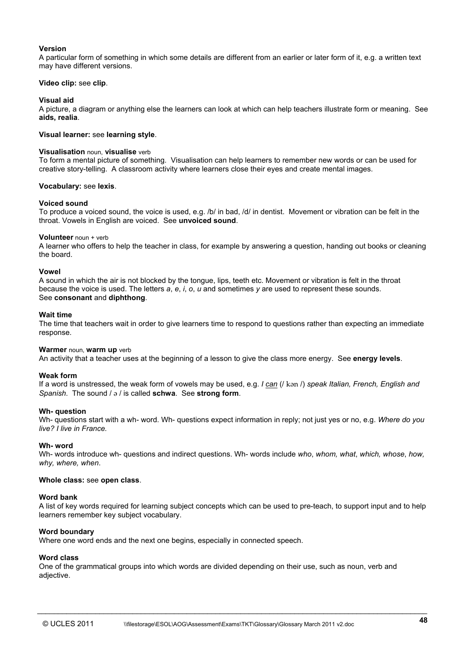## **Version**

A particular form of something in which some details are different from an earlier or later form of it, e.g. a written text may have different versions.

## **Video clip:** see **clip**.

# **Visual aid**

A picture, a diagram or anything else the learners can look at which can help teachers illustrate form or meaning. See **aids, realia**.

## **Visual learner:** see **learning style**.

#### **Visualisation** noun, **visualise** verb

To form a mental picture of something. Visualisation can help learners to remember new words or can be used for creative story-telling. A classroom activity where learners close their eyes and create mental images.

#### **Vocabulary:** see **lexis**.

#### **Voiced sound**

To produce a voiced sound, the voice is used, e.g. /b/ in bad, /d/ in dentist. Movement or vibration can be felt in the throat. Vowels in English are voiced. See **unvoiced sound**.

#### **Volunteer** noun + verb

A learner who offers to help the teacher in class, for example by answering a question, handing out books or cleaning the board.

#### **Vowel**

A sound in which the air is not blocked by the tongue, lips, teeth etc. Movement or vibration is felt in the throat because the voice is used. The letters *a*, *e*, *i*, *o*, *u* and sometimes *y* are used to represent these sounds. See **consonant** and **diphthong**.

#### **Wait time**

The time that teachers wait in order to give learners time to respond to questions rather than expecting an immediate response.

#### **Warmer** noun, **warm up** verb

An activity that a teacher uses at the beginning of a lesson to give the class more energy. See **energy levels**.

#### **Weak form**

If a word is unstressed, the weak form of vowels may be used, e.g. *I can (I kan I) speak Italian, French, English and Spanish.* The sound /  $\partial$  / is called **schwa**. See **strong form**.

#### **Wh- question**

Wh- questions start with a wh- word. Wh- questions expect information in reply; not just yes or no, e.g. *Where do you live? I live in France.*

#### **Wh- word**

Wh- words introduce wh- questions and indirect questions. Wh- words include *who*, *whom, what*, *which, whose*, *how, why, where, when*.

#### **Whole class:** see **open class**.

#### **Word bank**

A list of key words required for learning subject concepts which can be used to pre-teach, to support input and to help learners remember key subject vocabulary.

 $\_$  , and the state of the state of the state of the state of the state of the state of the state of the state of the state of the state of the state of the state of the state of the state of the state of the state of the

#### **Word boundary**

Where one word ends and the next one begins, especially in connected speech.

#### **Word class**

One of the grammatical groups into which words are divided depending on their use, such as noun, verb and adjective.